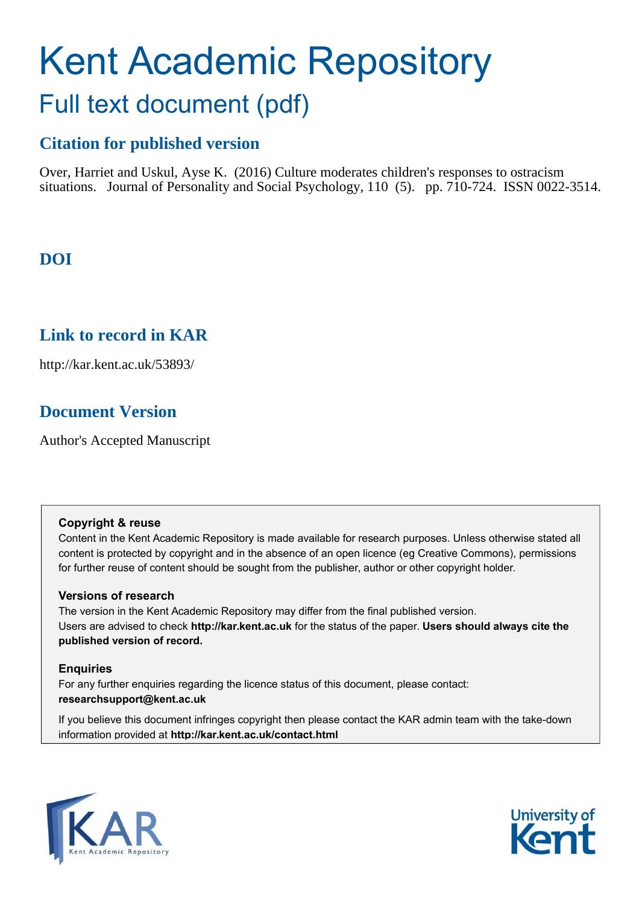# Kent Academic Repository Full text document (pdf)

# **Citation for published version**

Over, Harriet and Uskul, Ayse K. (2016) Culture moderates children's responses to ostracism situations. Journal of Personality and Social Psychology, 110 (5). pp. 710-724. ISSN 0022-3514.

# **DOI**

# **Link to record in KAR**

http://kar.kent.ac.uk/53893/

# **Document Version**

Author's Accepted Manuscript

# **Copyright & reuse**

Content in the Kent Academic Repository is made available for research purposes. Unless otherwise stated all content is protected by copyright and in the absence of an open licence (eg Creative Commons), permissions for further reuse of content should be sought from the publisher, author or other copyright holder.

# **Versions of research**

The version in the Kent Academic Repository may differ from the final published version. Users are advised to check **http://kar.kent.ac.uk** for the status of the paper. **Users should always cite the published version of record.**

# **Enquiries**

For any further enquiries regarding the licence status of this document, please contact: **researchsupport@kent.ac.uk**

If you believe this document infringes copyright then please contact the KAR admin team with the take-down information provided at **http://kar.kent.ac.uk/contact.html**



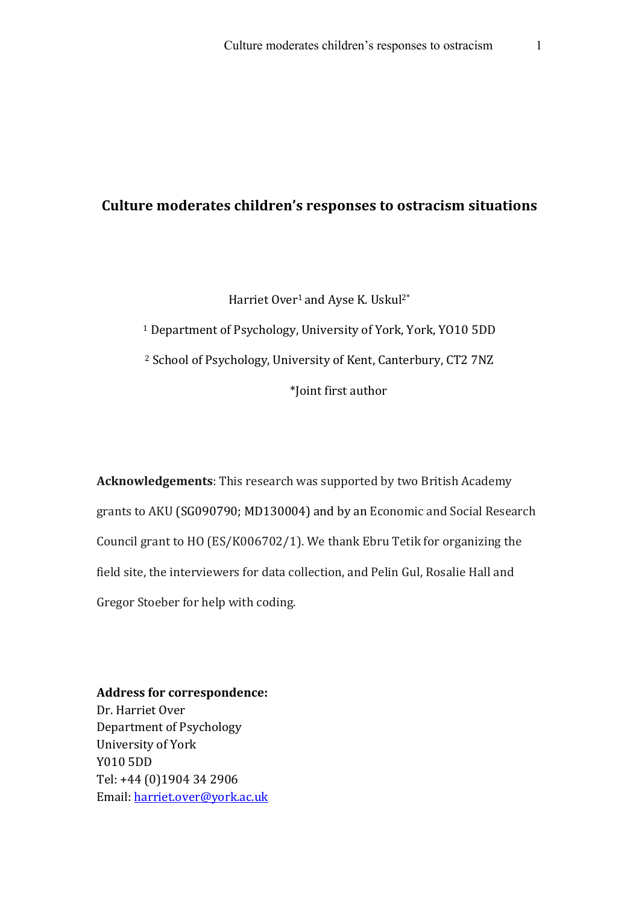# Culture moderates children's responses to ostracism situations

Harriet Over<sup>1</sup> and Ayse K. Uskul<sup>2\*</sup> <sup>1</sup> Department of Psychology, University of York, York, YO10 5DD <sup>2</sup> School of Psychology, University of Kent, Canterbury, CT2 7NZ \*Joint first author

**Acknowledgements**: This research was supported by two British Academy grants to AKU (SG090790; MD130004) and by an Economic and Social Research Council grant to HO  $(ES/K006702/1)$ . We thank Ebru Tetik for organizing the field site, the interviewers for data collection, and Pelin Gul, Rosalie Hall and Gregor Stoeber for help with coding.

Address for correspondence: Dr. Harriet Over Department of Psychology University of York Y010 5DD Tel: +44 (0)1904 34 2906 Email: harriet.over@york.ac.uk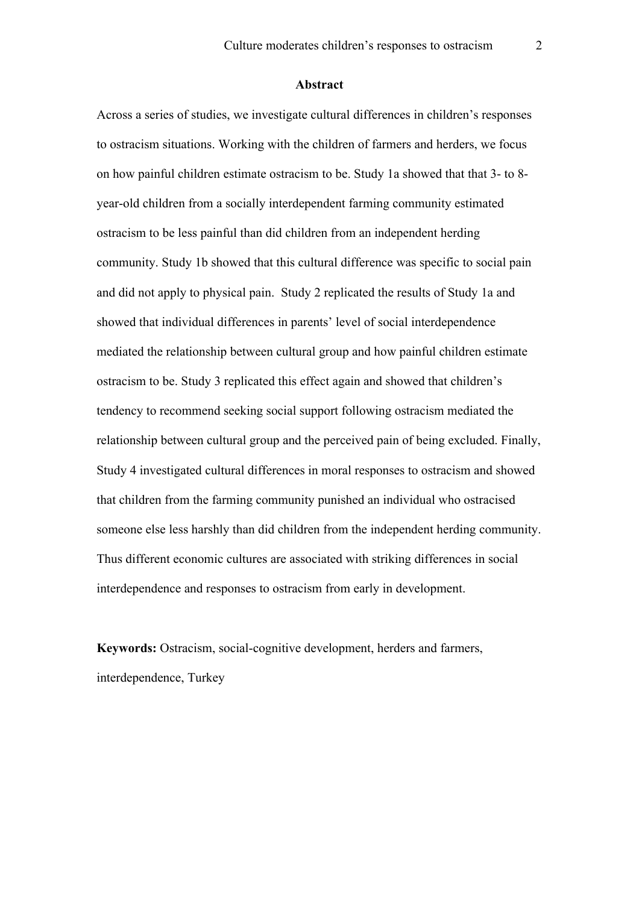#### **Abstract**

Across a series of studies, we investigate cultural differences in children's responses to ostracism situations. Working with the children of farmers and herders, we focus on how painful children estimate ostracism to be. Study 1a showed that that 3- to 8 year-old children from a socially interdependent farming community estimated ostracism to be less painful than did children from an independent herding community. Study 1b showed that this cultural difference was specific to social pain and did not apply to physical pain. Study 2 replicated the results of Study 1a and showed that individual differences in parents' level of social interdependence mediated the relationship between cultural group and how painful children estimate ostracism to be. Study 3 replicated this effect again and showed that children's tendency to recommend seeking social support following ostracism mediated the relationship between cultural group and the perceived pain of being excluded. Finally, Study 4 investigated cultural differences in moral responses to ostracism and showed that children from the farming community punished an individual who ostracised someone else less harshly than did children from the independent herding community. Thus different economic cultures are associated with striking differences in social interdependence and responses to ostracism from early in development.

**Keywords:** Ostracism, social-cognitive development, herders and farmers, interdependence, Turkey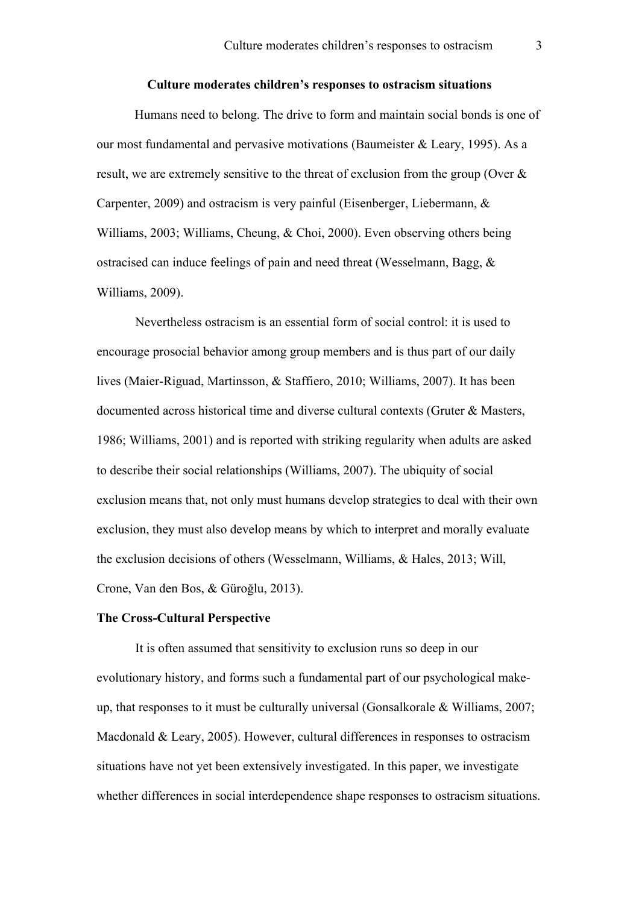#### **Culture moderates children's responses to ostracism situations**

Humans need to belong. The drive to form and maintain social bonds is one of our most fundamental and pervasive motivations (Baumeister & Leary, 1995). As a result, we are extremely sensitive to the threat of exclusion from the group (Over & Carpenter, 2009) and ostracism is very painful (Eisenberger, Liebermann, & Williams, 2003; Williams, Cheung, & Choi, 2000). Even observing others being ostracised can induce feelings of pain and need threat (Wesselmann, Bagg, & Williams, 2009).

Nevertheless ostracism is an essential form of social control: it is used to encourage prosocial behavior among group members and is thus part of our daily lives (Maier-Riguad, Martinsson, & Staffiero, 2010; Williams, 2007). It has been documented across historical time and diverse cultural contexts (Gruter & Masters, 1986; Williams, 2001) and is reported with striking regularity when adults are asked to describe their social relationships (Williams, 2007). The ubiquity of social exclusion means that, not only must humans develop strategies to deal with their own exclusion, they must also develop means by which to interpret and morally evaluate the exclusion decisions of others (Wesselmann, Williams, & Hales, 2013; Will, Crone, Van den Bos, & Güroğlu, 2013).

#### **The Cross-Cultural Perspective**

It is often assumed that sensitivity to exclusion runs so deep in our evolutionary history, and forms such a fundamental part of our psychological makeup, that responses to it must be culturally universal (Gonsalkorale & Williams, 2007; Macdonald & Leary, 2005). However, cultural differences in responses to ostracism situations have not yet been extensively investigated. In this paper, we investigate whether differences in social interdependence shape responses to ostracism situations.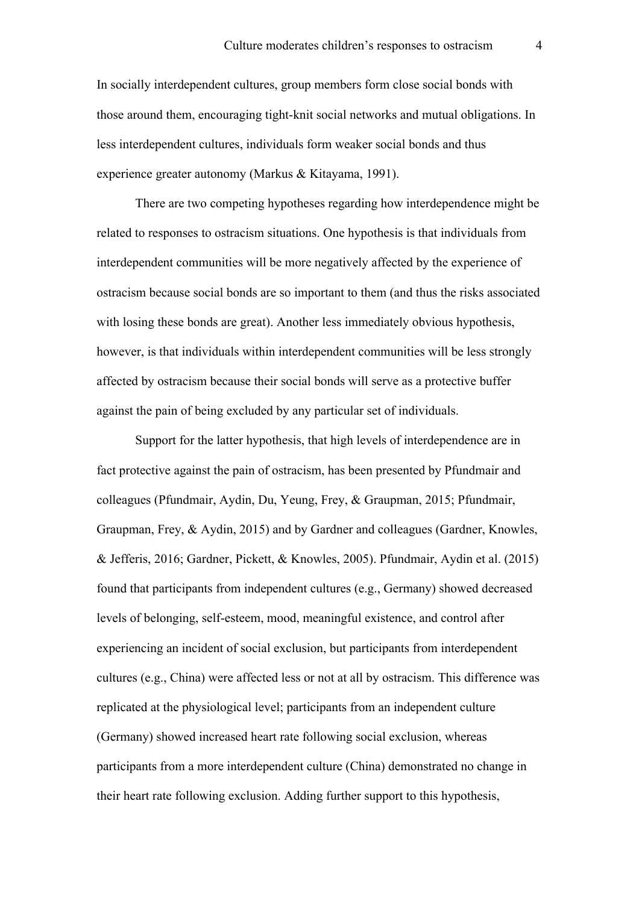In socially interdependent cultures, group members form close social bonds with those around them, encouraging tight-knit social networks and mutual obligations. In less interdependent cultures, individuals form weaker social bonds and thus experience greater autonomy (Markus & Kitayama, 1991).

There are two competing hypotheses regarding how interdependence might be related to responses to ostracism situations. One hypothesis is that individuals from interdependent communities will be more negatively affected by the experience of ostracism because social bonds are so important to them (and thus the risks associated with losing these bonds are great). Another less immediately obvious hypothesis, however, is that individuals within interdependent communities will be less strongly affected by ostracism because their social bonds will serve as a protective buffer against the pain of being excluded by any particular set of individuals.

Support for the latter hypothesis, that high levels of interdependence are in fact protective against the pain of ostracism, has been presented by Pfundmair and colleagues (Pfundmair, Aydin, Du, Yeung, Frey, & Graupman, 2015; Pfundmair, Graupman, Frey, & Aydin, 2015) and by Gardner and colleagues (Gardner, Knowles, & Jefferis, 2016; Gardner, Pickett, & Knowles, 2005). Pfundmair, Aydin et al. (2015) found that participants from independent cultures (e.g., Germany) showed decreased levels of belonging, self-esteem, mood, meaningful existence, and control after experiencing an incident of social exclusion, but participants from interdependent cultures (e.g., China) were affected less or not at all by ostracism. This difference was replicated at the physiological level; participants from an independent culture (Germany) showed increased heart rate following social exclusion, whereas participants from a more interdependent culture (China) demonstrated no change in their heart rate following exclusion. Adding further support to this hypothesis,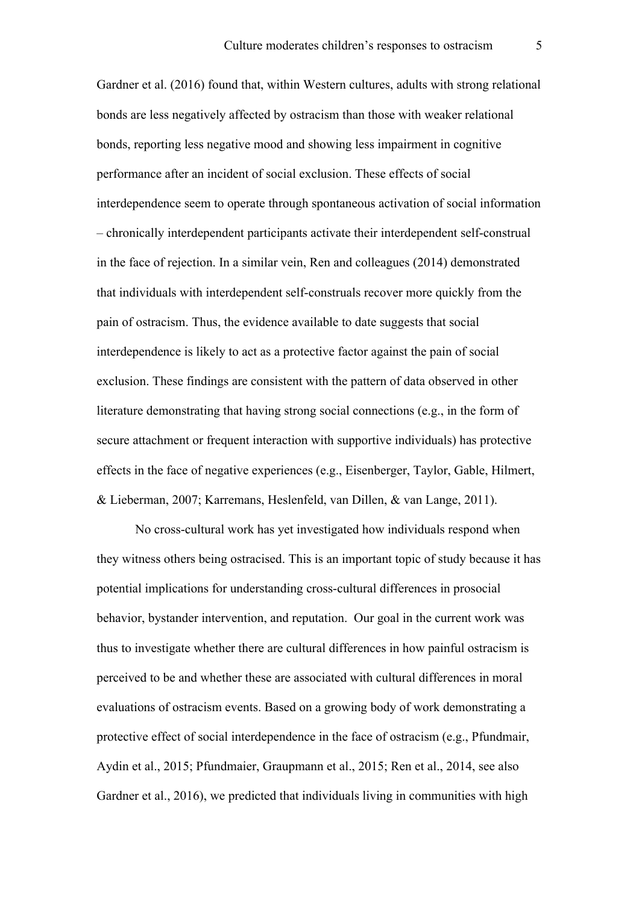Gardner et al. (2016) found that, within Western cultures, adults with strong relational bonds are less negatively affected by ostracism than those with weaker relational bonds, reporting less negative mood and showing less impairment in cognitive performance after an incident of social exclusion. These effects of social interdependence seem to operate through spontaneous activation of social information – chronically interdependent participants activate their interdependent self-construal in the face of rejection. In a similar vein, Ren and colleagues (2014) demonstrated that individuals with interdependent self-construals recover more quickly from the pain of ostracism. Thus, the evidence available to date suggests that social interdependence is likely to act as a protective factor against the pain of social exclusion. These findings are consistent with the pattern of data observed in other literature demonstrating that having strong social connections (e.g., in the form of secure attachment or frequent interaction with supportive individuals) has protective effects in the face of negative experiences (e.g., Eisenberger, Taylor, Gable, Hilmert, & Lieberman, 2007; Karremans, Heslenfeld, van Dillen, & van Lange, 2011).

No cross-cultural work has yet investigated how individuals respond when they witness others being ostracised. This is an important topic of study because it has potential implications for understanding cross-cultural differences in prosocial behavior, bystander intervention, and reputation. Our goal in the current work was thus to investigate whether there are cultural differences in how painful ostracism is perceived to be and whether these are associated with cultural differences in moral evaluations of ostracism events. Based on a growing body of work demonstrating a protective effect of social interdependence in the face of ostracism (e.g., Pfundmair, Aydin et al., 2015; Pfundmaier, Graupmann et al., 2015; Ren et al., 2014, see also Gardner et al., 2016), we predicted that individuals living in communities with high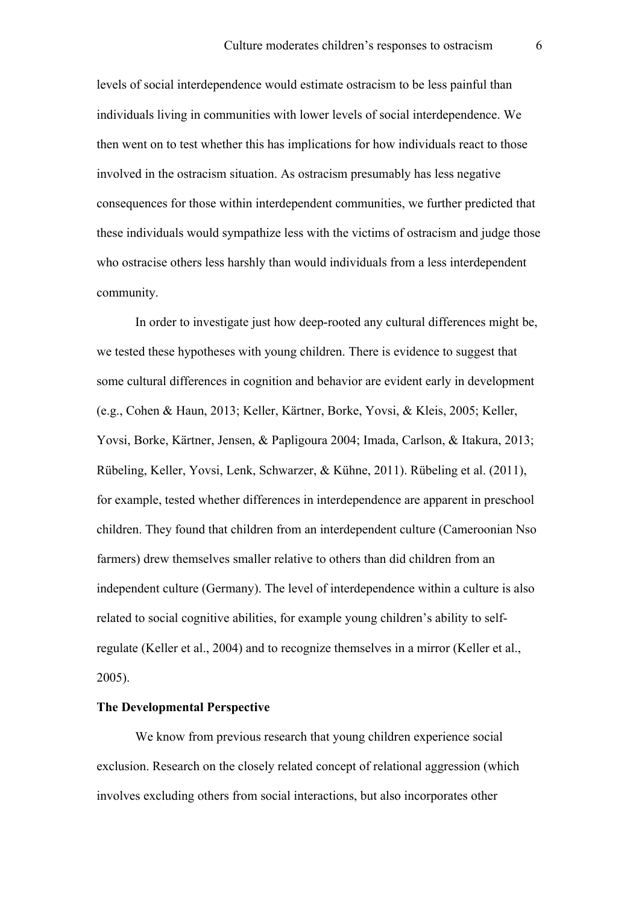levels of social interdependence would estimate ostracism to be less painful than individuals living in communities with lower levels of social interdependence. We then went on to test whether this has implications for how individuals react to those involved in the ostracism situation. As ostracism presumably has less negative consequences for those within interdependent communities, we further predicted that these individuals would sympathize less with the victims of ostracism and judge those who ostracise others less harshly than would individuals from a less interdependent community.

In order to investigate just how deep-rooted any cultural differences might be, we tested these hypotheses with young children. There is evidence to suggest that some cultural differences in cognition and behavior are evident early in development (e.g., Cohen & Haun, 2013; Keller, Kärtner, Borke, Yovsi, & Kleis, 2005; Keller, Yovsi, Borke, Kärtner, Jensen, & Papligoura 2004; Imada, Carlson, & Itakura, 2013; Rübeling, Keller, Yovsi, Lenk, Schwarzer, & Kühne, 2011). Rübeling et al. (2011), for example, tested whether differences in interdependence are apparent in preschool children. They found that children from an interdependent culture (Cameroonian Nso farmers) drew themselves smaller relative to others than did children from an independent culture (Germany). The level of interdependence within a culture is also related to social cognitive abilities, for example young children's ability to selfregulate (Keller et al., 2004) and to recognize themselves in a mirror (Keller et al., 2005).

#### **The Developmental Perspective**

We know from previous research that young children experience social exclusion. Research on the closely related concept of relational aggression (which involves excluding others from social interactions, but also incorporates other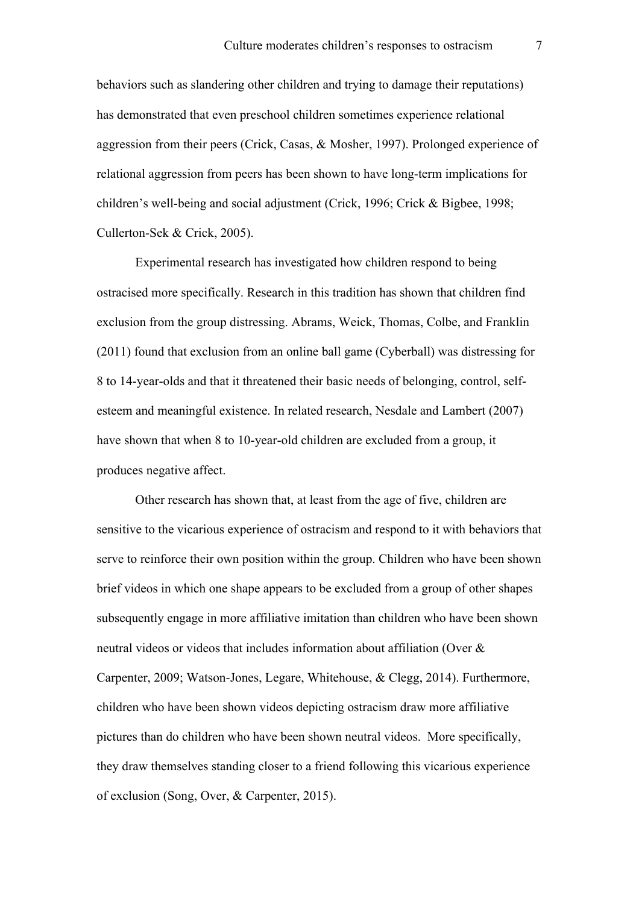behaviors such as slandering other children and trying to damage their reputations) has demonstrated that even preschool children sometimes experience relational aggression from their peers (Crick, Casas, & Mosher, 1997). Prolonged experience of relational aggression from peers has been shown to have long-term implications for children's well-being and social adjustment (Crick, 1996; Crick & Bigbee, 1998; Cullerton-Sek & Crick, 2005).

Experimental research has investigated how children respond to being ostracised more specifically. Research in this tradition has shown that children find exclusion from the group distressing. Abrams, Weick, Thomas, Colbe, and Franklin (2011) found that exclusion from an online ball game (Cyberball) was distressing for 8 to 14-year-olds and that it threatened their basic needs of belonging, control, selfesteem and meaningful existence. In related research, Nesdale and Lambert (2007) have shown that when 8 to 10-year-old children are excluded from a group, it produces negative affect.

Other research has shown that, at least from the age of five, children are sensitive to the vicarious experience of ostracism and respond to it with behaviors that serve to reinforce their own position within the group. Children who have been shown brief videos in which one shape appears to be excluded from a group of other shapes subsequently engage in more affiliative imitation than children who have been shown neutral videos or videos that includes information about affiliation (Over & Carpenter, 2009; Watson-Jones, Legare, Whitehouse, & Clegg, 2014). Furthermore, children who have been shown videos depicting ostracism draw more affiliative pictures than do children who have been shown neutral videos. More specifically, they draw themselves standing closer to a friend following this vicarious experience of exclusion (Song, Over, & Carpenter, 2015).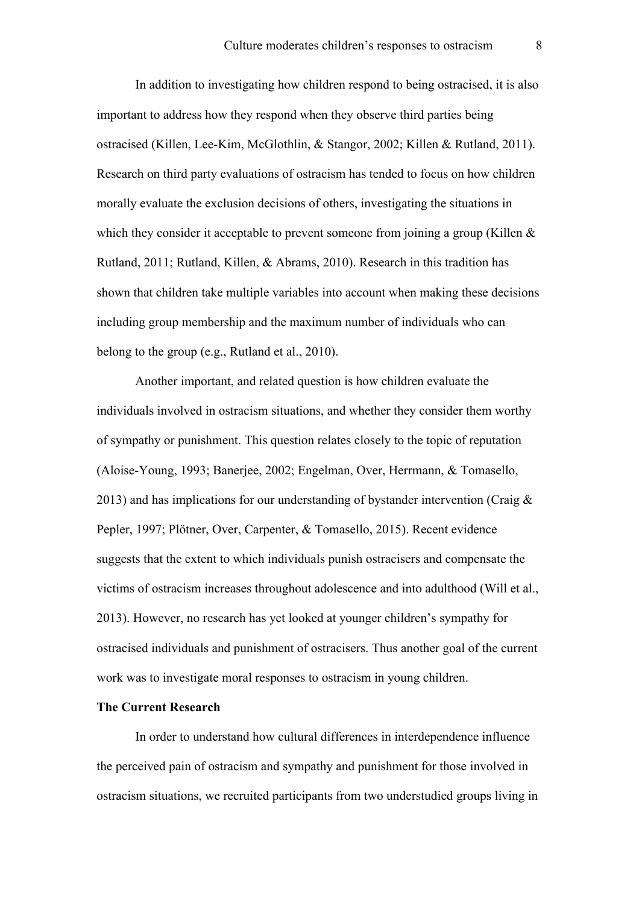In addition to investigating how children respond to being ostracised, it is also important to address how they respond when they observe third parties being ostracised (Killen, Lee-Kim, McGlothlin, & Stangor, 2002; Killen & Rutland, 2011). Research on third party evaluations of ostracism has tended to focus on how children morally evaluate the exclusion decisions of others, investigating the situations in which they consider it acceptable to prevent someone from joining a group (Killen  $\&$ Rutland, 2011; Rutland, Killen, & Abrams, 2010). Research in this tradition has shown that children take multiple variables into account when making these decisions including group membership and the maximum number of individuals who can belong to the group (e.g., Rutland et al., 2010).

Another important, and related question is how children evaluate the individuals involved in ostracism situations, and whether they consider them worthy of sympathy or punishment. This question relates closely to the topic of reputation (Aloise-Young, 1993; Banerjee, 2002; Engelman, Over, Herrmann, & Tomasello, 2013) and has implications for our understanding of bystander intervention (Craig  $\&$ Pepler, 1997; Plötner, Over, Carpenter, & Tomasello, 2015). Recent evidence suggests that the extent to which individuals punish ostracisers and compensate the victims of ostracism increases throughout adolescence and into adulthood (Will et al., 2013). However, no research has yet looked at younger children's sympathy for ostracised individuals and punishment of ostracisers. Thus another goal of the current work was to investigate moral responses to ostracism in young children.

# **The Current Research**

In order to understand how cultural differences in interdependence influence the perceived pain of ostracism and sympathy and punishment for those involved in ostracism situations, we recruited participants from two understudied groups living in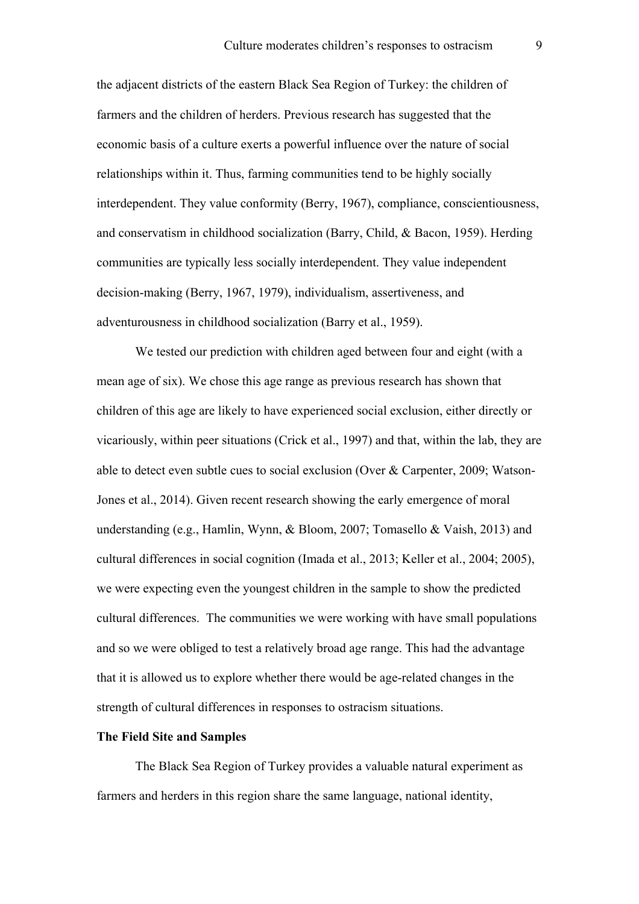the adjacent districts of the eastern Black Sea Region of Turkey: the children of farmers and the children of herders. Previous research has suggested that the economic basis of a culture exerts a powerful influence over the nature of social relationships within it. Thus, farming communities tend to be highly socially interdependent. They value conformity (Berry, 1967), compliance, conscientiousness, and conservatism in childhood socialization (Barry, Child, & Bacon, 1959). Herding communities are typically less socially interdependent. They value independent decision-making (Berry, 1967, 1979), individualism, assertiveness, and adventurousness in childhood socialization (Barry et al., 1959).

We tested our prediction with children aged between four and eight (with a mean age of six). We chose this age range as previous research has shown that children of this age are likely to have experienced social exclusion, either directly or vicariously, within peer situations (Crick et al., 1997) and that, within the lab, they are able to detect even subtle cues to social exclusion (Over & Carpenter, 2009; Watson-Jones et al., 2014). Given recent research showing the early emergence of moral understanding (e.g., Hamlin, Wynn, & Bloom, 2007; Tomasello & Vaish, 2013) and cultural differences in social cognition (Imada et al., 2013; Keller et al., 2004; 2005), we were expecting even the youngest children in the sample to show the predicted cultural differences. The communities we were working with have small populations and so we were obliged to test a relatively broad age range. This had the advantage that it is allowed us to explore whether there would be age-related changes in the strength of cultural differences in responses to ostracism situations.

# **The Field Site and Samples**

The Black Sea Region of Turkey provides a valuable natural experiment as farmers and herders in this region share the same language, national identity,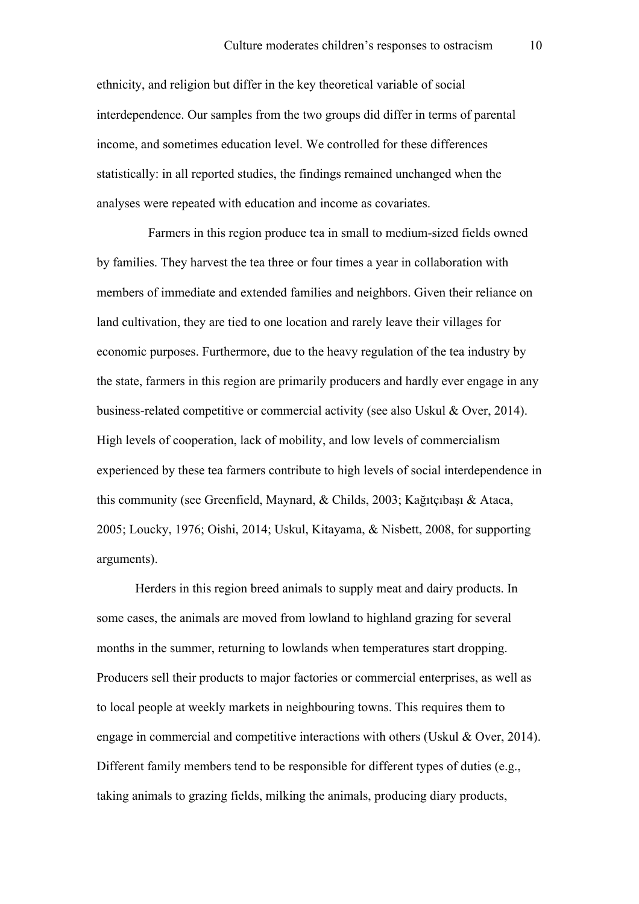ethnicity, and religion but differ in the key theoretical variable of social interdependence. Our samples from the two groups did differ in terms of parental income, and sometimes education level. We controlled for these differences statistically: in all reported studies, the findings remained unchanged when the analyses were repeated with education and income as covariates.

Farmers in this region produce tea in small to medium-sized fields owned by families. They harvest the tea three or four times a year in collaboration with members of immediate and extended families and neighbors. Given their reliance on land cultivation, they are tied to one location and rarely leave their villages for economic purposes. Furthermore, due to the heavy regulation of the tea industry by the state, farmers in this region are primarily producers and hardly ever engage in any business-related competitive or commercial activity (see also Uskul & Over, 2014). High levels of cooperation, lack of mobility, and low levels of commercialism experienced by these tea farmers contribute to high levels of social interdependence in this community (see Greenfield, Maynard, & Childs, 2003; Kağıtçıbaşı & Ataca, 2005; Loucky, 1976; Oishi, 2014; Uskul, Kitayama, & Nisbett, 2008, for supporting arguments).

Herders in this region breed animals to supply meat and dairy products. In some cases, the animals are moved from lowland to highland grazing for several months in the summer, returning to lowlands when temperatures start dropping. Producers sell their products to major factories or commercial enterprises, as well as to local people at weekly markets in neighbouring towns. This requires them to engage in commercial and competitive interactions with others (Uskul & Over, 2014). Different family members tend to be responsible for different types of duties (e.g., taking animals to grazing fields, milking the animals, producing diary products,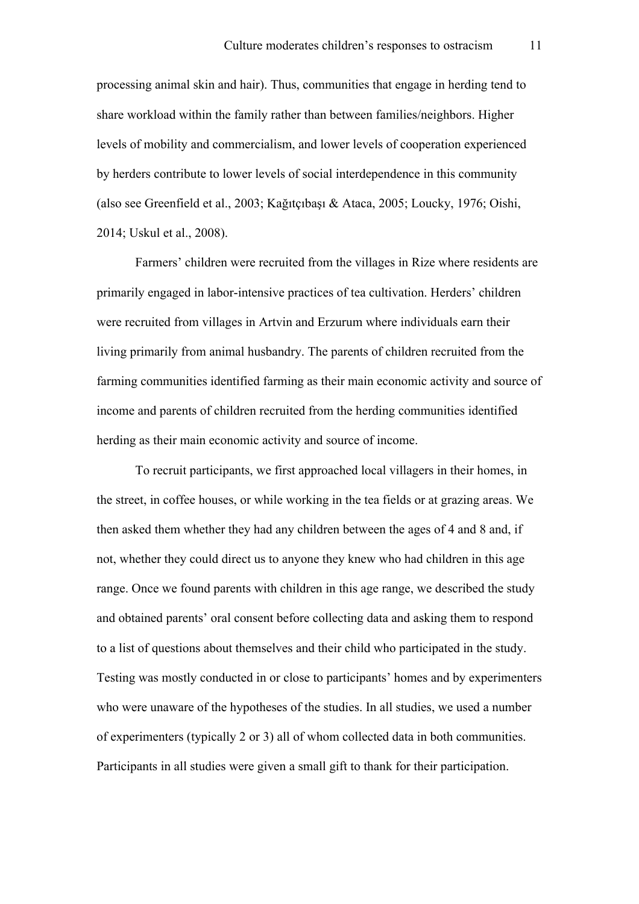processing animal skin and hair). Thus, communities that engage in herding tend to share workload within the family rather than between families/neighbors. Higher levels of mobility and commercialism, and lower levels of cooperation experienced by herders contribute to lower levels of social interdependence in this community (also see Greenfield et al., 2003; Kağıtçıbaşı & Ataca, 2005; Loucky, 1976; Oishi, 2014; Uskul et al., 2008).

Farmers' children were recruited from the villages in Rize where residents are primarily engaged in labor-intensive practices of tea cultivation. Herders' children were recruited from villages in Artvin and Erzurum where individuals earn their living primarily from animal husbandry. The parents of children recruited from the farming communities identified farming as their main economic activity and source of income and parents of children recruited from the herding communities identified herding as their main economic activity and source of income.

To recruit participants, we first approached local villagers in their homes, in the street, in coffee houses, or while working in the tea fields or at grazing areas. We then asked them whether they had any children between the ages of 4 and 8 and, if not, whether they could direct us to anyone they knew who had children in this age range. Once we found parents with children in this age range, we described the study and obtained parents' oral consent before collecting data and asking them to respond to a list of questions about themselves and their child who participated in the study. Testing was mostly conducted in or close to participants' homes and by experimenters who were unaware of the hypotheses of the studies. In all studies, we used a number of experimenters (typically 2 or 3) all of whom collected data in both communities. Participants in all studies were given a small gift to thank for their participation.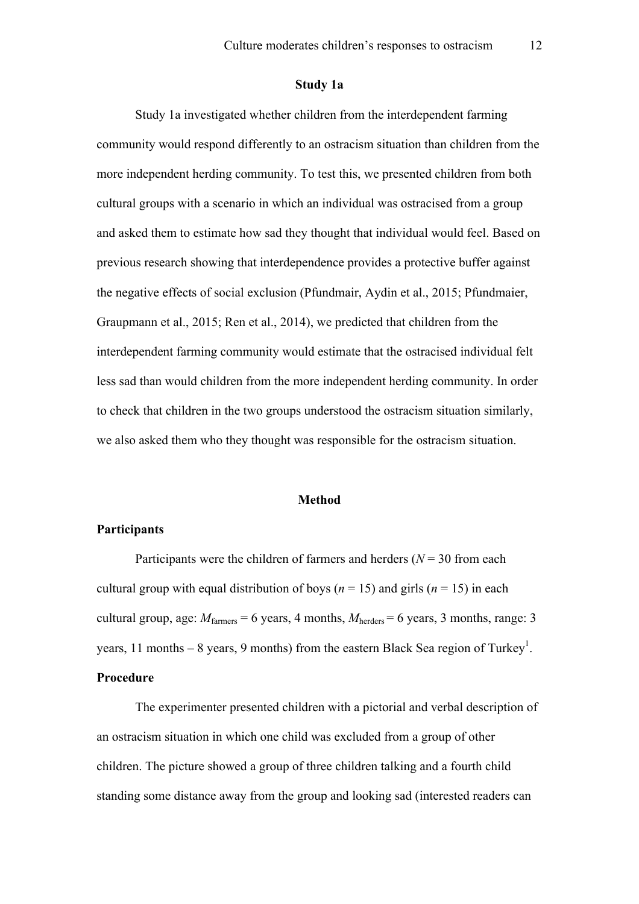#### **Study 1a**

Study 1a investigated whether children from the interdependent farming community would respond differently to an ostracism situation than children from the more independent herding community. To test this, we presented children from both cultural groups with a scenario in which an individual was ostracised from a group and asked them to estimate how sad they thought that individual would feel. Based on previous research showing that interdependence provides a protective buffer against the negative effects of social exclusion (Pfundmair, Aydin et al., 2015; Pfundmaier, Graupmann et al., 2015; Ren et al., 2014), we predicted that children from the interdependent farming community would estimate that the ostracised individual felt less sad than would children from the more independent herding community. In order to check that children in the two groups understood the ostracism situation similarly, we also asked them who they thought was responsible for the ostracism situation.

# **Method**

## **Participants**

Participants were the children of farmers and herders  $(N = 30$  from each cultural group with equal distribution of boys ( $n = 15$ ) and girls ( $n = 15$ ) in each cultural group, age:  $M_{\text{farmers}} = 6$  years, 4 months,  $M_{\text{herders}} = 6$  years, 3 months, range: 3 years, 11 months  $-8$  years, 9 months) from the eastern Black Sea region of Turkey<sup>1</sup>. **Procedure**

The experimenter presented children with a pictorial and verbal description of an ostracism situation in which one child was excluded from a group of other children. The picture showed a group of three children talking and a fourth child standing some distance away from the group and looking sad (interested readers can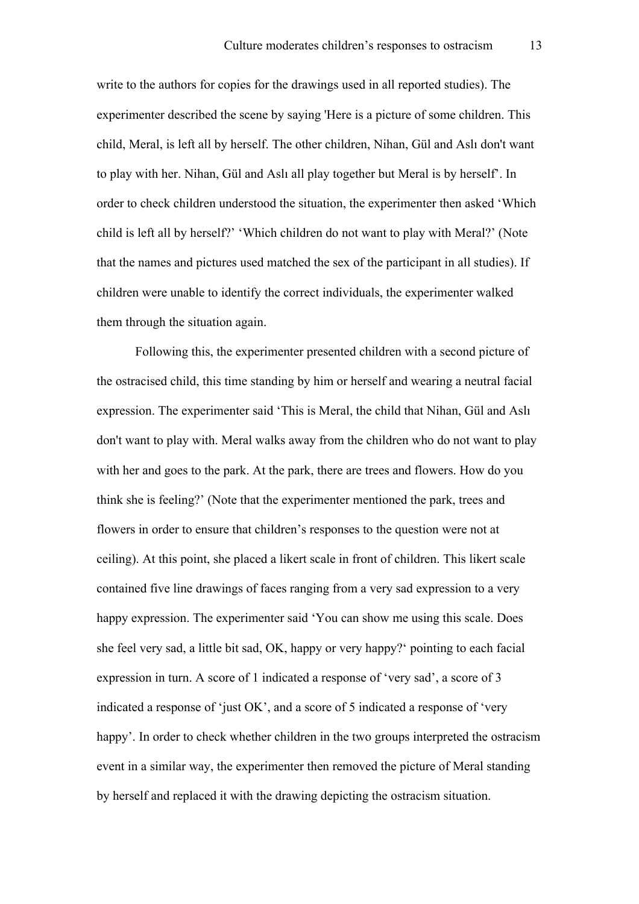write to the authors for copies for the drawings used in all reported studies). The experimenter described the scene by saying 'Here is a picture of some children. This child, Meral, is left all by herself. The other children, Nihan, Gül and Aslı don't want to play with her. Nihan, Gül and Aslı all play together but Meral is by herself'. In order to check children understood the situation, the experimenter then asked 'Which child is left all by herself?' 'Which children do not want to play with Meral?' (Note that the names and pictures used matched the sex of the participant in all studies). If children were unable to identify the correct individuals, the experimenter walked them through the situation again.

Following this, the experimenter presented children with a second picture of the ostracised child, this time standing by him or herself and wearing a neutral facial expression. The experimenter said 'This is Meral, the child that Nihan, Gül and Aslı don't want to play with. Meral walks away from the children who do not want to play with her and goes to the park. At the park, there are trees and flowers. How do you think she is feeling?' (Note that the experimenter mentioned the park, trees and flowers in order to ensure that children's responses to the question were not at ceiling). At this point, she placed a likert scale in front of children. This likert scale contained five line drawings of faces ranging from a very sad expression to a very happy expression. The experimenter said 'You can show me using this scale. Does she feel very sad, a little bit sad, OK, happy or very happy?' pointing to each facial expression in turn. A score of 1 indicated a response of 'very sad', a score of 3 indicated a response of 'just OK', and a score of 5 indicated a response of 'very happy'. In order to check whether children in the two groups interpreted the ostracism event in a similar way, the experimenter then removed the picture of Meral standing by herself and replaced it with the drawing depicting the ostracism situation.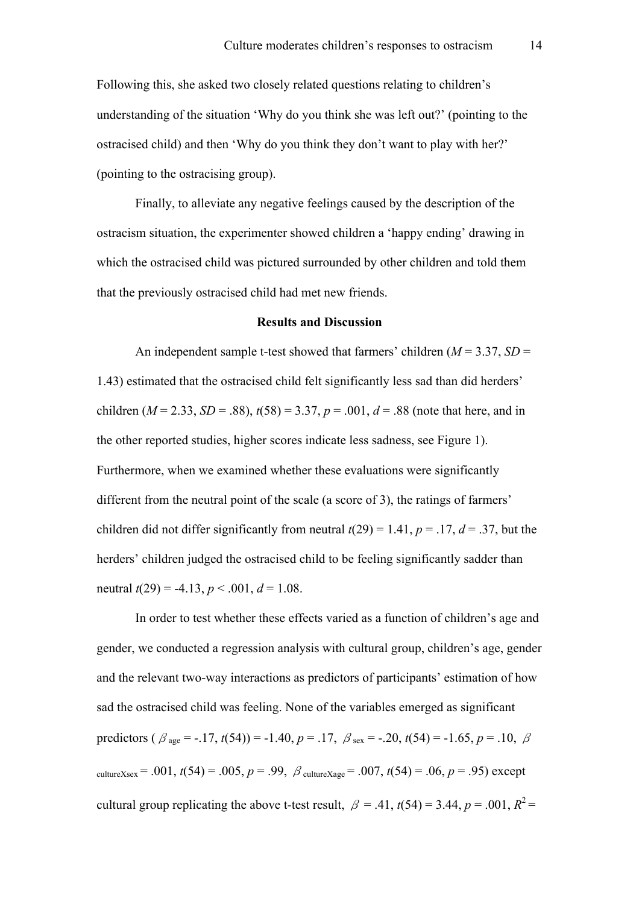Following this, she asked two closely related questions relating to children's understanding of the situation 'Why do you think she was left out?' (pointing to the ostracised child) and then 'Why do you think they don't want to play with her?' (pointing to the ostracising group).

Finally, to alleviate any negative feelings caused by the description of the ostracism situation, the experimenter showed children a 'happy ending' drawing in which the ostracised child was pictured surrounded by other children and told them that the previously ostracised child had met new friends.

#### **Results and Discussion**

An independent sample t-test showed that farmers' children  $(M = 3.37, SD =$ 1.43) estimated that the ostracised child felt significantly less sad than did herders' children ( $M = 2.33$ ,  $SD = .88$ ),  $t(58) = 3.37$ ,  $p = .001$ ,  $d = .88$  (note that here, and in the other reported studies, higher scores indicate less sadness, see Figure 1). Furthermore, when we examined whether these evaluations were significantly different from the neutral point of the scale (a score of 3), the ratings of farmers' children did not differ significantly from neutral  $t(29) = 1.41$ ,  $p = .17$ ,  $d = .37$ , but the herders' children judged the ostracised child to be feeling significantly sadder than neutral  $t(29) = -4.13$ ,  $p < .001$ ,  $d = 1.08$ .

In order to test whether these effects varied as a function of children's age and gender, we conducted a regression analysis with cultural group, children's age, gender and the relevant two-way interactions as predictors of participants' estimation of how sad the ostracised child was feeling. None of the variables emerged as significant predictors ( $\beta_{\text{age}} = -.17$ ,  $t(54)$ ) = -1.40,  $p = .17$ ,  $\beta_{\text{sex}} = -.20$ ,  $t(54) = -1.65$ ,  $p = .10$ ,  $\beta$ cultureXsex = .001,  $t(54)$  = .005,  $p = .99$ ,  $\beta$  cultureXage = .007,  $t(54)$  = .06,  $p = .95$ ) except cultural group replicating the above t-test result,  $\beta = .41$ ,  $t(54) = 3.44$ ,  $p = .001$ ,  $R^2 =$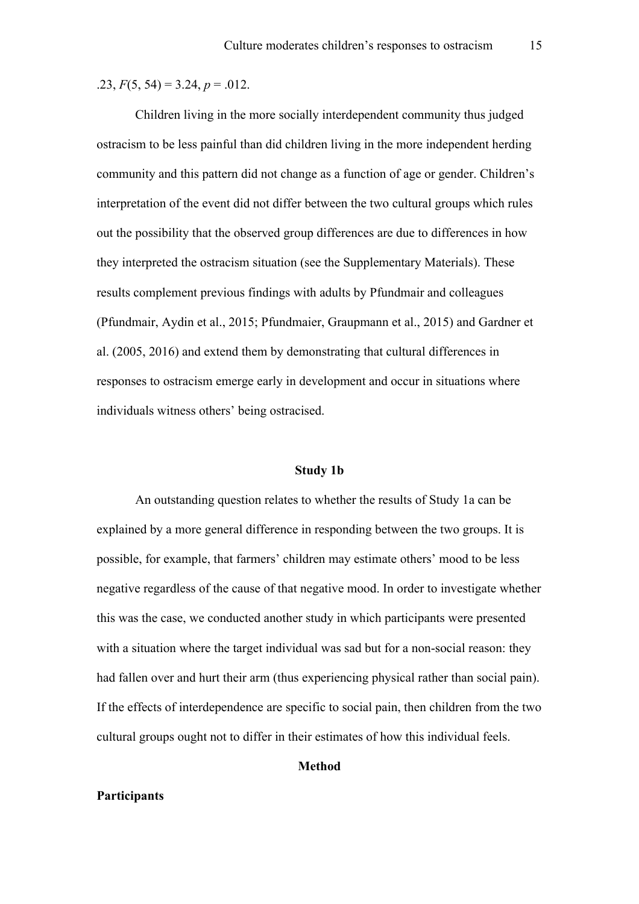.23, *F*(5, 54) = 3.24, *p* = .012.

Children living in the more socially interdependent community thus judged ostracism to be less painful than did children living in the more independent herding community and this pattern did not change as a function of age or gender. Children's interpretation of the event did not differ between the two cultural groups which rules out the possibility that the observed group differences are due to differences in how they interpreted the ostracism situation (see the Supplementary Materials). These results complement previous findings with adults by Pfundmair and colleagues (Pfundmair, Aydin et al., 2015; Pfundmaier, Graupmann et al., 2015) and Gardner et al. (2005, 2016) and extend them by demonstrating that cultural differences in responses to ostracism emerge early in development and occur in situations where individuals witness others' being ostracised.

#### **Study 1b**

An outstanding question relates to whether the results of Study 1a can be explained by a more general difference in responding between the two groups. It is possible, for example, that farmers' children may estimate others' mood to be less negative regardless of the cause of that negative mood. In order to investigate whether this was the case, we conducted another study in which participants were presented with a situation where the target individual was sad but for a non-social reason: they had fallen over and hurt their arm (thus experiencing physical rather than social pain). If the effects of interdependence are specific to social pain, then children from the two cultural groups ought not to differ in their estimates of how this individual feels.

#### **Method**

# **Participants**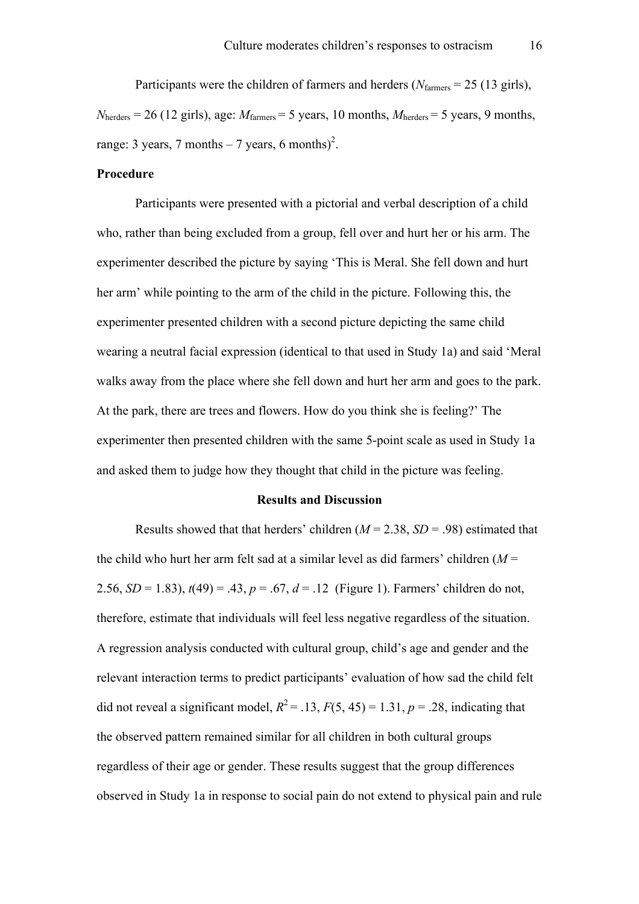Participants were the children of farmers and herders (*N*<sub>farmers</sub> = 25 (13 girls),  $N_{\text{herders}} = 26$  (12 girls), age:  $M_{\text{farmers}} = 5$  years, 10 months,  $M_{\text{herders}} = 5$  years, 9 months, range: 3 years, 7 months  $-7$  years, 6 months)<sup>2</sup>.

# **Procedure**

Participants were presented with a pictorial and verbal description of a child who, rather than being excluded from a group, fell over and hurt her or his arm. The experimenter described the picture by saying 'This is Meral. She fell down and hurt her arm' while pointing to the arm of the child in the picture. Following this, the experimenter presented children with a second picture depicting the same child wearing a neutral facial expression (identical to that used in Study 1a) and said 'Meral walks away from the place where she fell down and hurt her arm and goes to the park. At the park, there are trees and flowers. How do you think she is feeling?' The experimenter then presented children with the same 5-point scale as used in Study 1a and asked them to judge how they thought that child in the picture was feeling.

#### **Results and Discussion**

Results showed that that herders' children  $(M = 2.38, SD = .98)$  estimated that the child who hurt her arm felt sad at a similar level as did farmers' children (*M* = 2.56,  $SD = 1.83$ ),  $t(49) = .43$ ,  $p = .67$ ,  $d = .12$  (Figure 1). Farmers' children do not, therefore, estimate that individuals will feel less negative regardless of the situation. A regression analysis conducted with cultural group, child's age and gender and the relevant interaction terms to predict participants' evaluation of how sad the child felt did not reveal a significant model,  $R^2 = .13$ ,  $F(5, 45) = 1.31$ ,  $p = .28$ , indicating that the observed pattern remained similar for all children in both cultural groups regardless of their age or gender. These results suggest that the group differences observed in Study 1a in response to social pain do not extend to physical pain and rule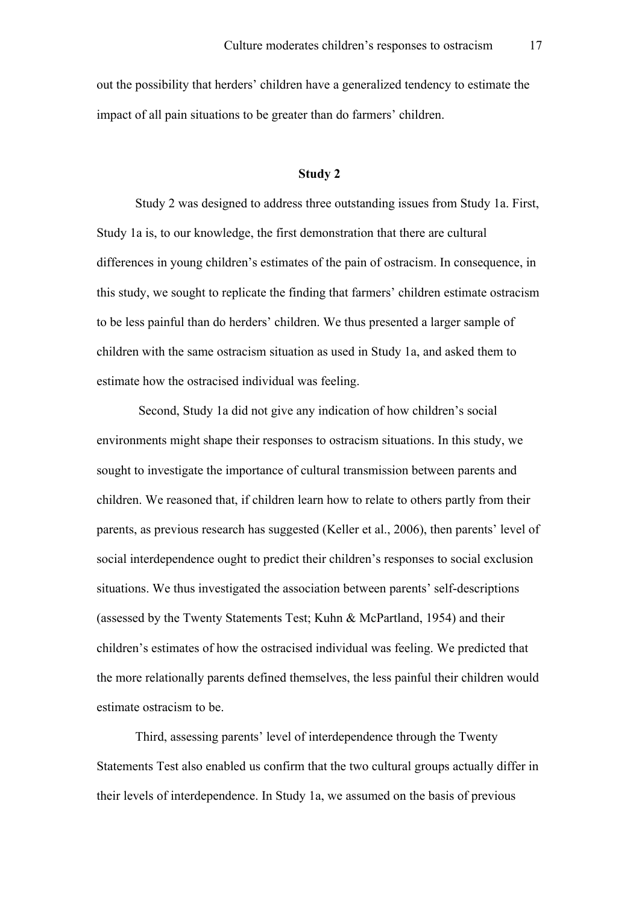out the possibility that herders' children have a generalized tendency to estimate the impact of all pain situations to be greater than do farmers' children.

# **Study 2**

Study 2 was designed to address three outstanding issues from Study 1a. First, Study 1a is, to our knowledge, the first demonstration that there are cultural differences in young children's estimates of the pain of ostracism. In consequence, in this study, we sought to replicate the finding that farmers' children estimate ostracism to be less painful than do herders' children. We thus presented a larger sample of children with the same ostracism situation as used in Study 1a, and asked them to estimate how the ostracised individual was feeling.

Second, Study 1a did not give any indication of how children's social environments might shape their responses to ostracism situations. In this study, we sought to investigate the importance of cultural transmission between parents and children. We reasoned that, if children learn how to relate to others partly from their parents, as previous research has suggested (Keller et al., 2006), then parents' level of social interdependence ought to predict their children's responses to social exclusion situations. We thus investigated the association between parents' self-descriptions (assessed by the Twenty Statements Test; Kuhn & McPartland, 1954) and their children's estimates of how the ostracised individual was feeling. We predicted that the more relationally parents defined themselves, the less painful their children would estimate ostracism to be.

Third, assessing parents' level of interdependence through the Twenty Statements Test also enabled us confirm that the two cultural groups actually differ in their levels of interdependence. In Study 1a, we assumed on the basis of previous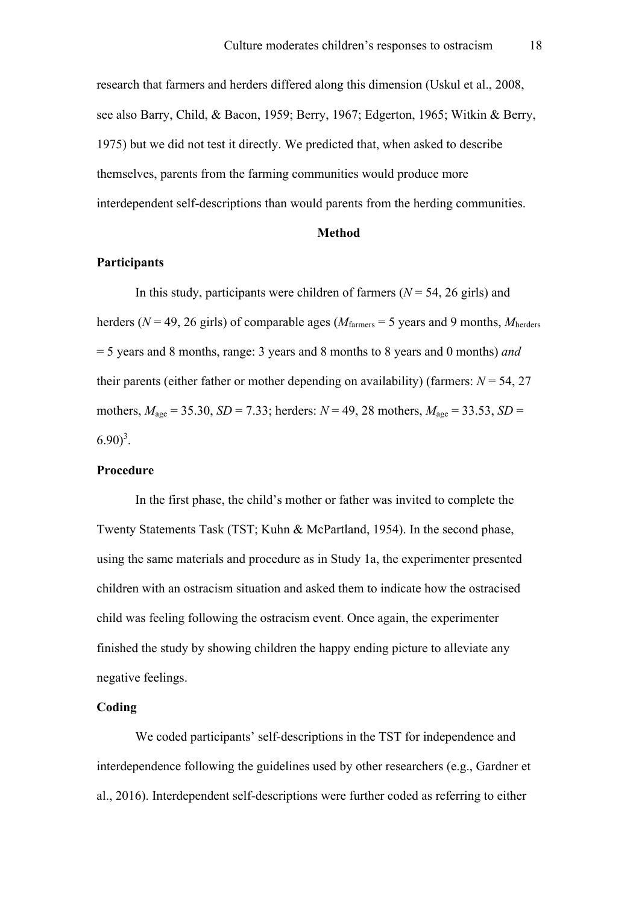research that farmers and herders differed along this dimension (Uskul et al., 2008, see also Barry, Child, & Bacon, 1959; Berry, 1967; Edgerton, 1965; Witkin & Berry, 1975) but we did not test it directly. We predicted that, when asked to describe themselves, parents from the farming communities would produce more interdependent self-descriptions than would parents from the herding communities.

# **Method**

#### **Participants**

In this study, participants were children of farmers  $(N = 54, 26$  girls) and herders ( $N = 49$ , 26 girls) of comparable ages ( $M_{\text{farmers}} = 5$  years and 9 months,  $M_{\text{herders}}$ ) = 5 years and 8 months, range: 3 years and 8 months to 8 years and 0 months) *and* their parents (either father or mother depending on availability) (farmers:  $N = 54$ , 27 mothers,  $M_{\text{age}} = 35.30$ ,  $SD = 7.33$ ; herders:  $N = 49$ , 28 mothers,  $M_{\text{age}} = 33.53$ ,  $SD =$  $(6.90)^3$ .

# **Procedure**

In the first phase, the child's mother or father was invited to complete the Twenty Statements Task (TST; Kuhn & McPartland, 1954). In the second phase, using the same materials and procedure as in Study 1a, the experimenter presented children with an ostracism situation and asked them to indicate how the ostracised child was feeling following the ostracism event. Once again, the experimenter finished the study by showing children the happy ending picture to alleviate any negative feelings.

## **Coding**

We coded participants' self-descriptions in the TST for independence and interdependence following the guidelines used by other researchers (e.g., Gardner et al., 2016). Interdependent self-descriptions were further coded as referring to either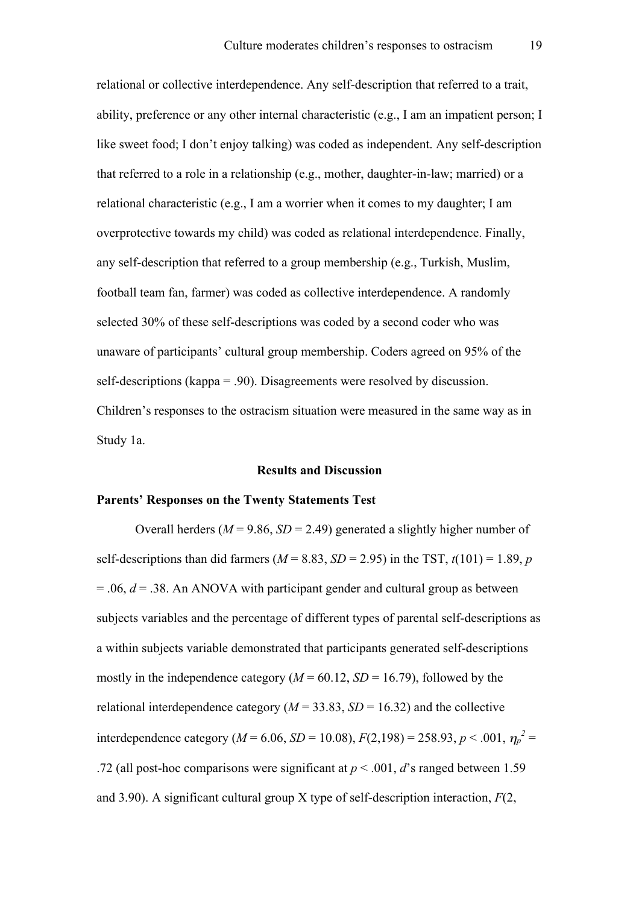relational or collective interdependence. Any self-description that referred to a trait, ability, preference or any other internal characteristic (e.g., I am an impatient person; I like sweet food; I don't enjoy talking) was coded as independent. Any self-description that referred to a role in a relationship (e.g., mother, daughter-in-law; married) or a relational characteristic (e.g., I am a worrier when it comes to my daughter; I am overprotective towards my child) was coded as relational interdependence. Finally, any self-description that referred to a group membership (e.g., Turkish, Muslim, football team fan, farmer) was coded as collective interdependence. A randomly selected 30% of these self-descriptions was coded by a second coder who was unaware of participants' cultural group membership. Coders agreed on 95% of the self-descriptions (kappa = .90). Disagreements were resolved by discussion. Children's responses to the ostracism situation were measured in the same way as in Study 1a.

#### **Results and Discussion**

#### **Parents' Responses on the Twenty Statements Test**

Overall herders ( $M = 9.86$ ,  $SD = 2.49$ ) generated a slightly higher number of self-descriptions than did farmers ( $M = 8.83$ ,  $SD = 2.95$ ) in the TST,  $t(101) = 1.89$ , *p* = .06, *d* = .38. An ANOVA with participant gender and cultural group as between subjects variables and the percentage of different types of parental self-descriptions as a within subjects variable demonstrated that participants generated self-descriptions mostly in the independence category  $(M = 60.12, SD = 16.79)$ , followed by the relational interdependence category ( $M = 33.83$ ,  $SD = 16.32$ ) and the collective interdependence category ( $M = 6.06$ ,  $SD = 10.08$ ),  $F(2,198) = 258.93$ ,  $p < .001$ ,  $\eta_p^2 =$ .72 (all post-hoc comparisons were significant at  $p < .001$ , *d*'s ranged between 1.59 and 3.90). A significant cultural group X type of self-description interaction, *F*(2,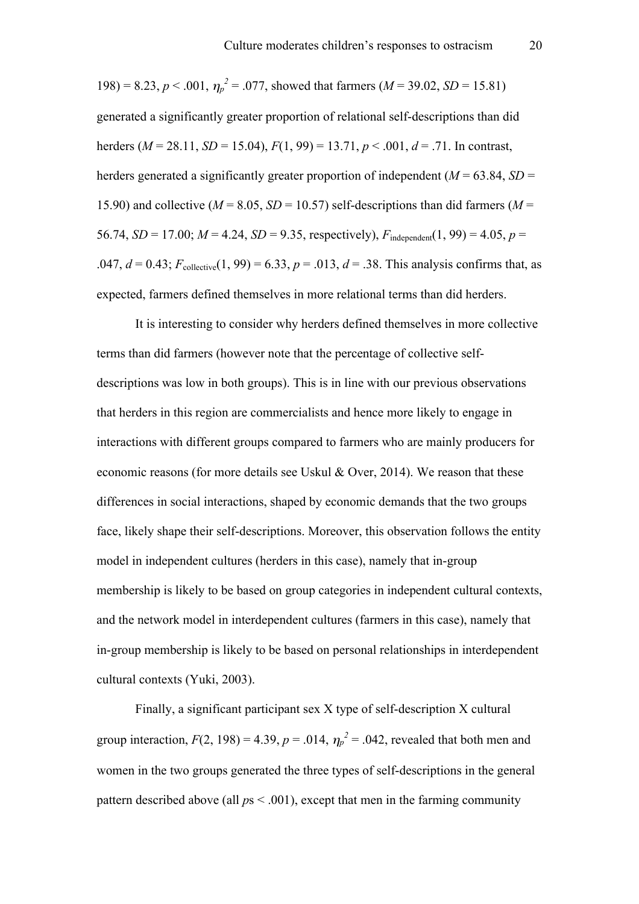198) = 8.23,  $p < .001$ ,  $\eta_p^2 = .077$ , showed that farmers ( $M = 39.02$ ,  $SD = 15.81$ ) generated a significantly greater proportion of relational self-descriptions than did herders (*M* = 28.11, *SD* = 15.04), *F*(1, 99) = 13.71, *p* < .001, *d* = .71. In contrast, herders generated a significantly greater proportion of independent ( $M = 63.84$ ,  $SD =$ 15.90) and collective ( $M = 8.05$ ,  $SD = 10.57$ ) self-descriptions than did farmers ( $M =$ 56.74,  $SD = 17.00$ ;  $M = 4.24$ ,  $SD = 9.35$ , respectively),  $F_{\text{independent}}(1, 99) = 4.05$ ,  $p =$ .047,  $d = 0.43$ ;  $F_{\text{collective}}(1, 99) = 6.33$ ,  $p = .013$ ,  $d = .38$ . This analysis confirms that, as expected, farmers defined themselves in more relational terms than did herders.

It is interesting to consider why herders defined themselves in more collective terms than did farmers (however note that the percentage of collective selfdescriptions was low in both groups). This is in line with our previous observations that herders in this region are commercialists and hence more likely to engage in interactions with different groups compared to farmers who are mainly producers for economic reasons (for more details see Uskul & Over, 2014). We reason that these differences in social interactions, shaped by economic demands that the two groups face, likely shape their self-descriptions. Moreover, this observation follows the entity model in independent cultures (herders in this case), namely that in-group membership is likely to be based on group categories in independent cultural contexts, and the network model in interdependent cultures (farmers in this case), namely that in-group membership is likely to be based on personal relationships in interdependent cultural contexts (Yuki, 2003).

Finally, a significant participant sex X type of self-description X cultural group interaction,  $F(2, 198) = 4.39$ ,  $p = .014$ ,  $\eta_p^2 = .042$ , revealed that both men and women in the two groups generated the three types of self-descriptions in the general pattern described above (all *p*s < .001), except that men in the farming community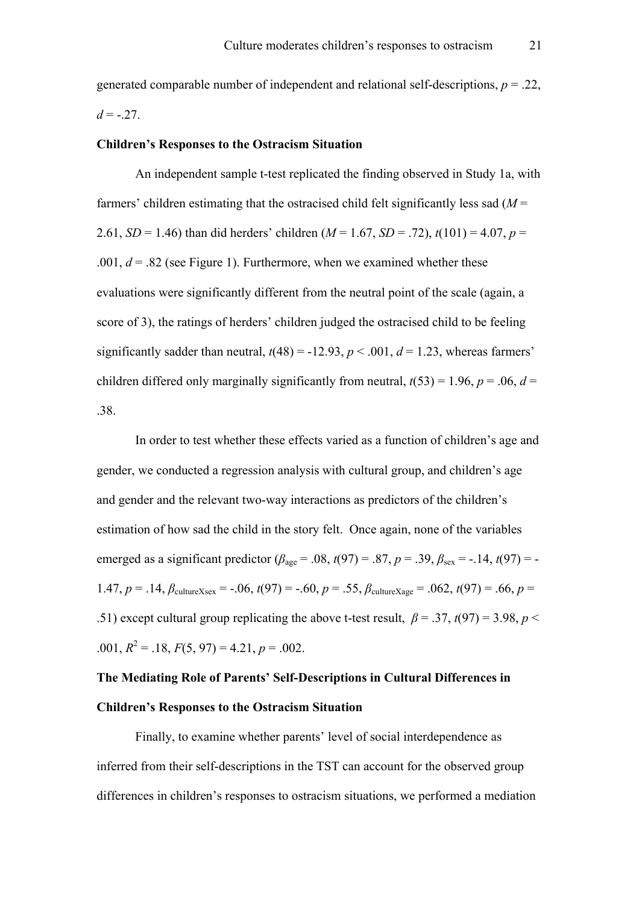generated comparable number of independent and relational self-descriptions, *p* = .22,  $d = -0.27$ .

#### **Children's Responses to the Ostracism Situation**

An independent sample t-test replicated the finding observed in Study 1a, with farmers' children estimating that the ostracised child felt significantly less sad (*M* = 2.61, *SD* = 1.46) than did herders' children  $(M = 1.67, SD = .72)$ ,  $t(101) = 4.07$ ,  $p =$ .001,  $d = 0.82$  (see Figure 1). Furthermore, when we examined whether these evaluations were significantly different from the neutral point of the scale (again, a score of 3), the ratings of herders' children judged the ostracised child to be feeling significantly sadder than neutral,  $t(48) = -12.93$ ,  $p < .001$ ,  $d = 1.23$ , whereas farmers' children differed only marginally significantly from neutral,  $t(53) = 1.96$ ,  $p = .06$ ,  $d =$ .38.

In order to test whether these effects varied as a function of children's age and gender, we conducted a regression analysis with cultural group, and children's age and gender and the relevant two-way interactions as predictors of the children's estimation of how sad the child in the story felt. Once again, none of the variables emerged as a significant predictor ( $\beta_{\text{age}} = .08$ ,  $t(97) = .87$ ,  $p = .39$ ,  $\beta_{\text{sex}} = -.14$ ,  $t(97) = -$ 1.47,  $p = 0.14$ ,  $\beta_{\text{cultureXsex}} = -0.06$ ,  $t(97) = -0.60$ ,  $p = 0.55$ ,  $\beta_{\text{cultureXage}} = 0.062$ ,  $t(97) = 0.66$ ,  $p = 0.62$ .51) except cultural group replicating the above t-test result,  $\beta = 0.37$ ,  $t(97) = 3.98$ ,  $p <$  $.001, R<sup>2</sup> = .18, F(5, 97) = 4.21, p = .002.$ 

# **The Mediating Role of Parents' Self-Descriptions in Cultural Differences in Children's Responses to the Ostracism Situation**

Finally, to examine whether parents' level of social interdependence as inferred from their self-descriptions in the TST can account for the observed group differences in children's responses to ostracism situations, we performed a mediation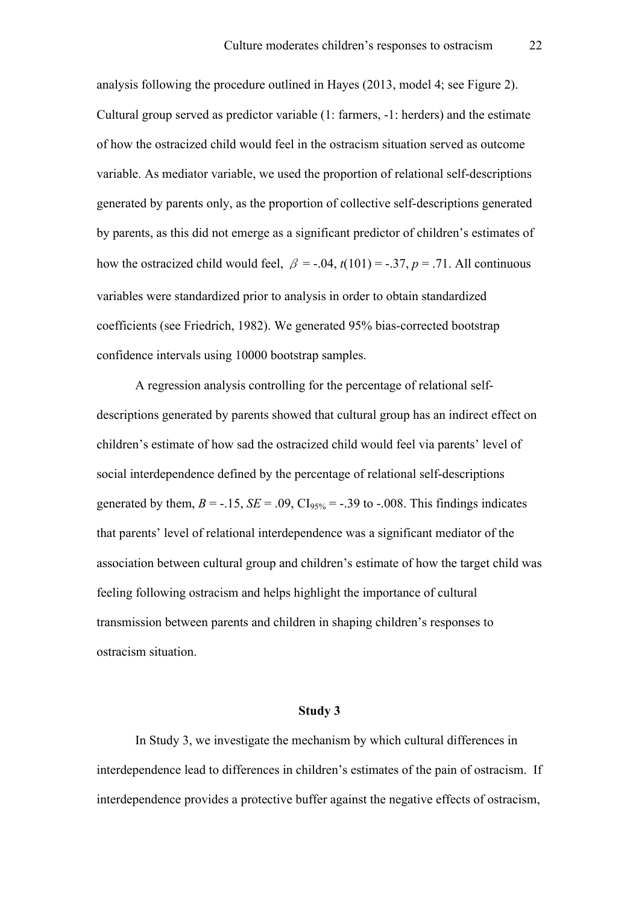analysis following the procedure outlined in Hayes (2013, model 4; see Figure 2). Cultural group served as predictor variable (1: farmers, -1: herders) and the estimate of how the ostracized child would feel in the ostracism situation served as outcome variable. As mediator variable, we used the proportion of relational self-descriptions generated by parents only, as the proportion of collective self-descriptions generated by parents, as this did not emerge as a significant predictor of children's estimates of how the ostracized child would feel,  $\beta = -.04$ ,  $t(101) = -.37$ ,  $p = .71$ . All continuous variables were standardized prior to analysis in order to obtain standardized coefficients (see Friedrich, 1982). We generated 95% bias-corrected bootstrap confidence intervals using 10000 bootstrap samples.

A regression analysis controlling for the percentage of relational selfdescriptions generated by parents showed that cultural group has an indirect effect on children's estimate of how sad the ostracized child would feel via parents' level of social interdependence defined by the percentage of relational self-descriptions generated by them,  $B = -.15$ ,  $SE = .09$ ,  $CI<sub>95%</sub> = -.39$  to  $-.008$ . This findings indicates that parents' level of relational interdependence was a significant mediator of the association between cultural group and children's estimate of how the target child was feeling following ostracism and helps highlight the importance of cultural transmission between parents and children in shaping children's responses to ostracism situation.

#### **Study 3**

In Study 3, we investigate the mechanism by which cultural differences in interdependence lead to differences in children's estimates of the pain of ostracism. If interdependence provides a protective buffer against the negative effects of ostracism,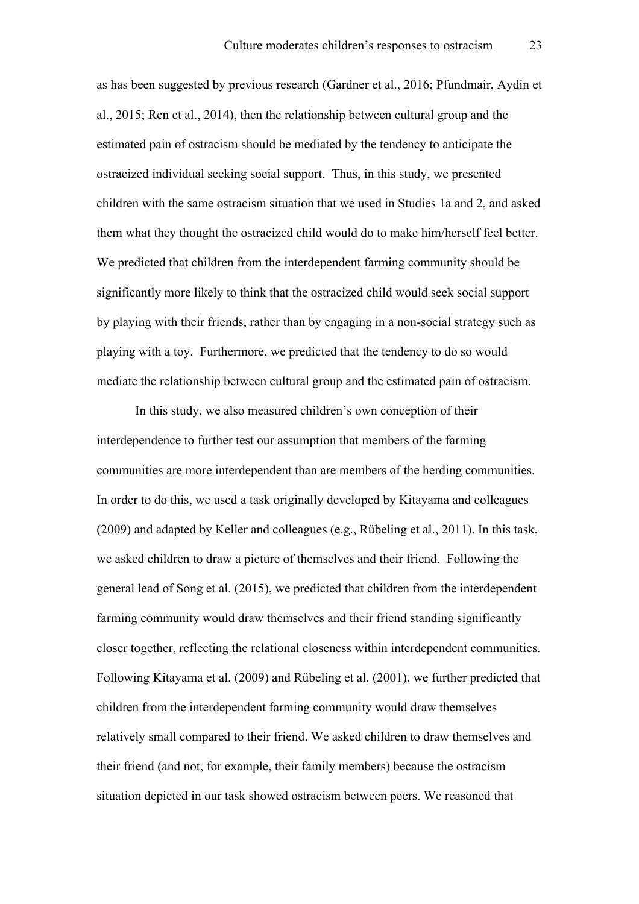as has been suggested by previous research (Gardner et al., 2016; Pfundmair, Aydin et al., 2015; Ren et al., 2014), then the relationship between cultural group and the estimated pain of ostracism should be mediated by the tendency to anticipate the ostracized individual seeking social support. Thus, in this study, we presented children with the same ostracism situation that we used in Studies 1a and 2, and asked them what they thought the ostracized child would do to make him/herself feel better. We predicted that children from the interdependent farming community should be significantly more likely to think that the ostracized child would seek social support by playing with their friends, rather than by engaging in a non-social strategy such as playing with a toy. Furthermore, we predicted that the tendency to do so would mediate the relationship between cultural group and the estimated pain of ostracism.

In this study, we also measured children's own conception of their interdependence to further test our assumption that members of the farming communities are more interdependent than are members of the herding communities. In order to do this, we used a task originally developed by Kitayama and colleagues (2009) and adapted by Keller and colleagues (e.g., Rübeling et al., 2011). In this task, we asked children to draw a picture of themselves and their friend. Following the general lead of Song et al. (2015), we predicted that children from the interdependent farming community would draw themselves and their friend standing significantly closer together, reflecting the relational closeness within interdependent communities. Following Kitayama et al. (2009) and Rübeling et al. (2001), we further predicted that children from the interdependent farming community would draw themselves relatively small compared to their friend. We asked children to draw themselves and their friend (and not, for example, their family members) because the ostracism situation depicted in our task showed ostracism between peers. We reasoned that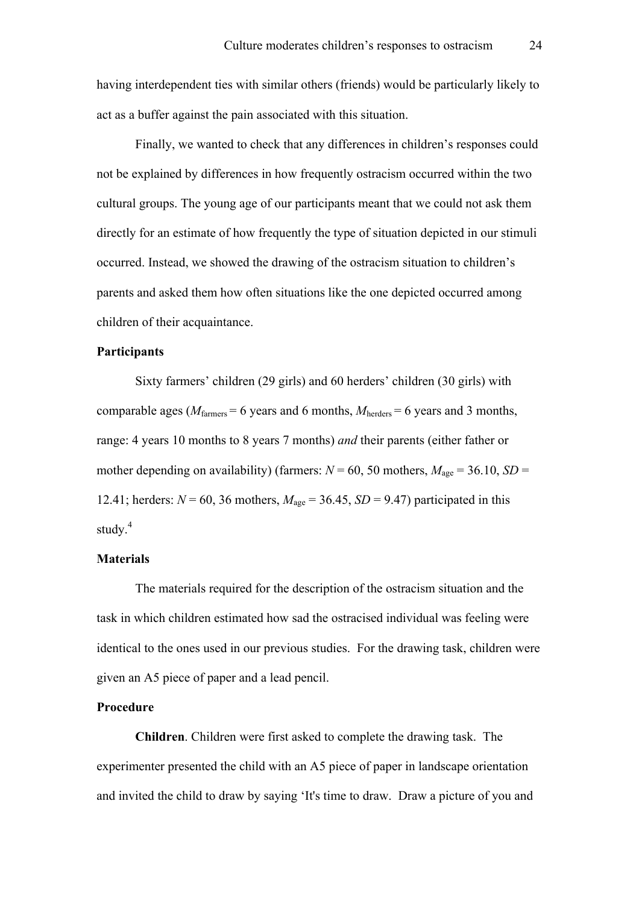having interdependent ties with similar others (friends) would be particularly likely to act as a buffer against the pain associated with this situation.

Finally, we wanted to check that any differences in children's responses could not be explained by differences in how frequently ostracism occurred within the two cultural groups. The young age of our participants meant that we could not ask them directly for an estimate of how frequently the type of situation depicted in our stimuli occurred. Instead, we showed the drawing of the ostracism situation to children's parents and asked them how often situations like the one depicted occurred among children of their acquaintance.

# **Participants**

Sixty farmers' children (29 girls) and 60 herders' children (30 girls) with comparable ages ( $M_{\text{farmers}} = 6$  years and 6 months,  $M_{\text{herders}} = 6$  years and 3 months, range: 4 years 10 months to 8 years 7 months) *and* their parents (either father or mother depending on availability) (farmers:  $N = 60$ , 50 mothers,  $M_{\text{age}} = 36.10$ ,  $SD =$ 12.41; herders:  $N = 60$ , 36 mothers,  $M_{\text{age}} = 36.45$ ,  $SD = 9.47$ ) participated in this study.<sup>4</sup>

# **Materials**

The materials required for the description of the ostracism situation and the task in which children estimated how sad the ostracised individual was feeling were identical to the ones used in our previous studies. For the drawing task, children were given an A5 piece of paper and a lead pencil.

# **Procedure**

**Children**. Children were first asked to complete the drawing task. The experimenter presented the child with an A5 piece of paper in landscape orientation and invited the child to draw by saying 'It's time to draw. Draw a picture of you and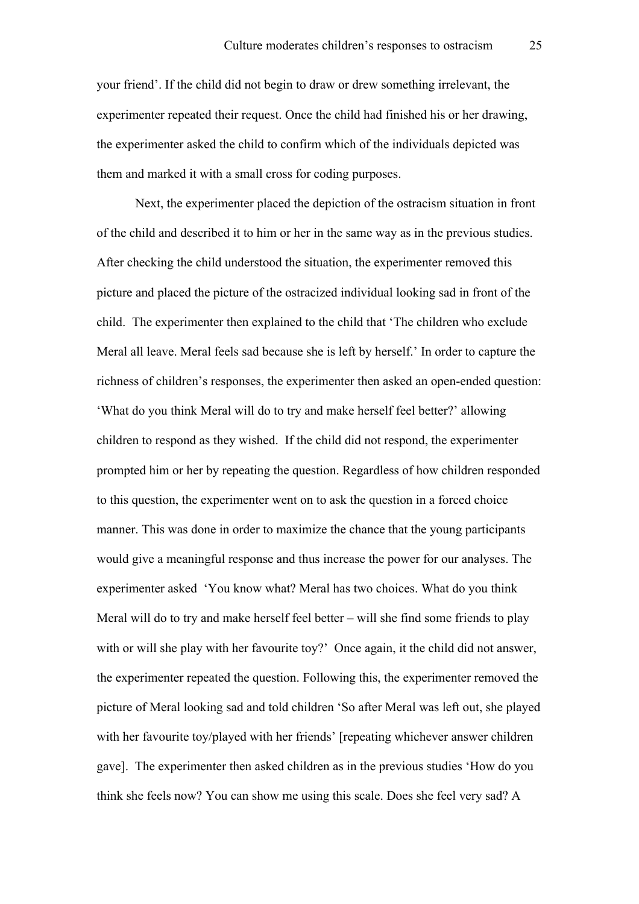your friend'. If the child did not begin to draw or drew something irrelevant, the experimenter repeated their request. Once the child had finished his or her drawing, the experimenter asked the child to confirm which of the individuals depicted was them and marked it with a small cross for coding purposes.

Next, the experimenter placed the depiction of the ostracism situation in front of the child and described it to him or her in the same way as in the previous studies. After checking the child understood the situation, the experimenter removed this picture and placed the picture of the ostracized individual looking sad in front of the child. The experimenter then explained to the child that 'The children who exclude Meral all leave. Meral feels sad because she is left by herself.' In order to capture the richness of children's responses, the experimenter then asked an open-ended question: 'What do you think Meral will do to try and make herself feel better?' allowing children to respond as they wished. If the child did not respond, the experimenter prompted him or her by repeating the question. Regardless of how children responded to this question, the experimenter went on to ask the question in a forced choice manner. This was done in order to maximize the chance that the young participants would give a meaningful response and thus increase the power for our analyses. The experimenter asked 'You know what? Meral has two choices. What do you think Meral will do to try and make herself feel better – will she find some friends to play with or will she play with her favourite toy?' Once again, it the child did not answer, the experimenter repeated the question. Following this, the experimenter removed the picture of Meral looking sad and told children 'So after Meral was left out, she played with her favourite toy/played with her friends' [repeating whichever answer children gave]. The experimenter then asked children as in the previous studies 'How do you think she feels now? You can show me using this scale. Does she feel very sad? A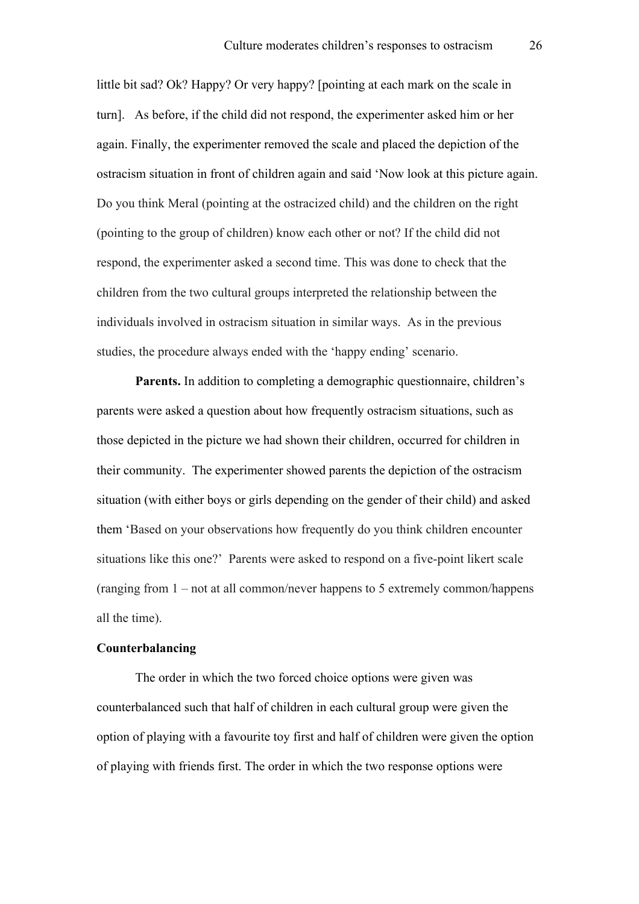little bit sad? Ok? Happy? Or very happy? [pointing at each mark on the scale in turn]. As before, if the child did not respond, the experimenter asked him or her again. Finally, the experimenter removed the scale and placed the depiction of the ostracism situation in front of children again and said 'Now look at this picture again. Do you think Meral (pointing at the ostracized child) and the children on the right (pointing to the group of children) know each other or not? If the child did not respond, the experimenter asked a second time. This was done to check that the children from the two cultural groups interpreted the relationship between the individuals involved in ostracism situation in similar ways. As in the previous studies, the procedure always ended with the 'happy ending' scenario.

Parents. In addition to completing a demographic questionnaire, children's parents were asked a question about how frequently ostracism situations, such as those depicted in the picture we had shown their children, occurred for children in their community. The experimenter showed parents the depiction of the ostracism situation (with either boys or girls depending on the gender of their child) and asked them 'Based on your observations how frequently do you think children encounter situations like this one?' Parents were asked to respond on a five-point likert scale (ranging from 1 – not at all common/never happens to 5 extremely common/happens all the time).

#### **Counterbalancing**

The order in which the two forced choice options were given was counterbalanced such that half of children in each cultural group were given the option of playing with a favourite toy first and half of children were given the option of playing with friends first. The order in which the two response options were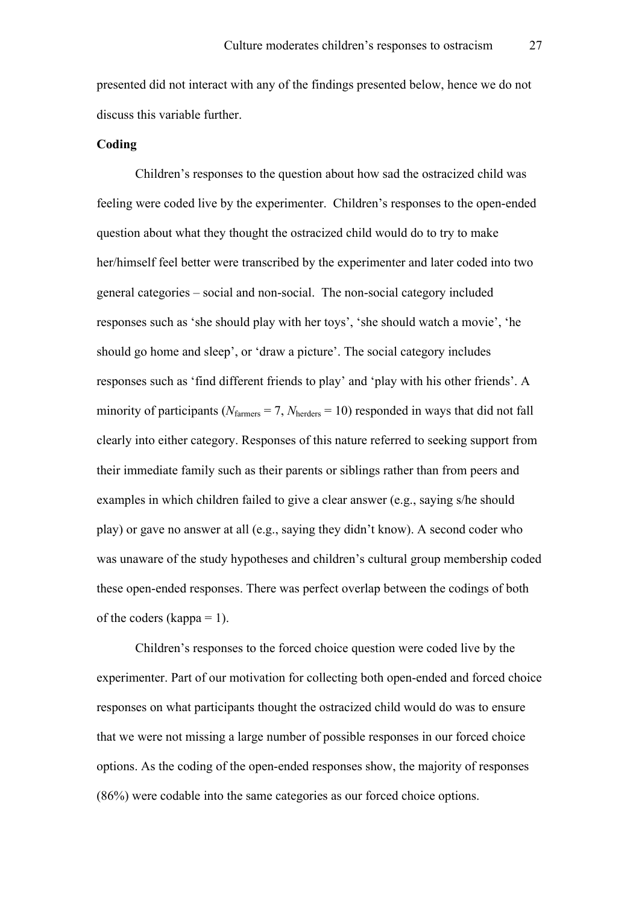presented did not interact with any of the findings presented below, hence we do not discuss this variable further.

#### **Coding**

Children's responses to the question about how sad the ostracized child was feeling were coded live by the experimenter. Children's responses to the open-ended question about what they thought the ostracized child would do to try to make her/himself feel better were transcribed by the experimenter and later coded into two general categories – social and non-social. The non-social category included responses such as 'she should play with her toys', 'she should watch a movie', 'he should go home and sleep', or 'draw a picture'. The social category includes responses such as 'find different friends to play' and 'play with his other friends'. A minority of participants ( $N_{\text{farmers}} = 7$ ,  $N_{\text{herders}} = 10$ ) responded in ways that did not fall clearly into either category. Responses of this nature referred to seeking support from their immediate family such as their parents or siblings rather than from peers and examples in which children failed to give a clear answer (e.g., saying s/he should play) or gave no answer at all (e.g., saying they didn't know). A second coder who was unaware of the study hypotheses and children's cultural group membership coded these open-ended responses. There was perfect overlap between the codings of both of the coders (kappa  $= 1$ ).

Children's responses to the forced choice question were coded live by the experimenter. Part of our motivation for collecting both open-ended and forced choice responses on what participants thought the ostracized child would do was to ensure that we were not missing a large number of possible responses in our forced choice options. As the coding of the open-ended responses show, the majority of responses (86%) were codable into the same categories as our forced choice options.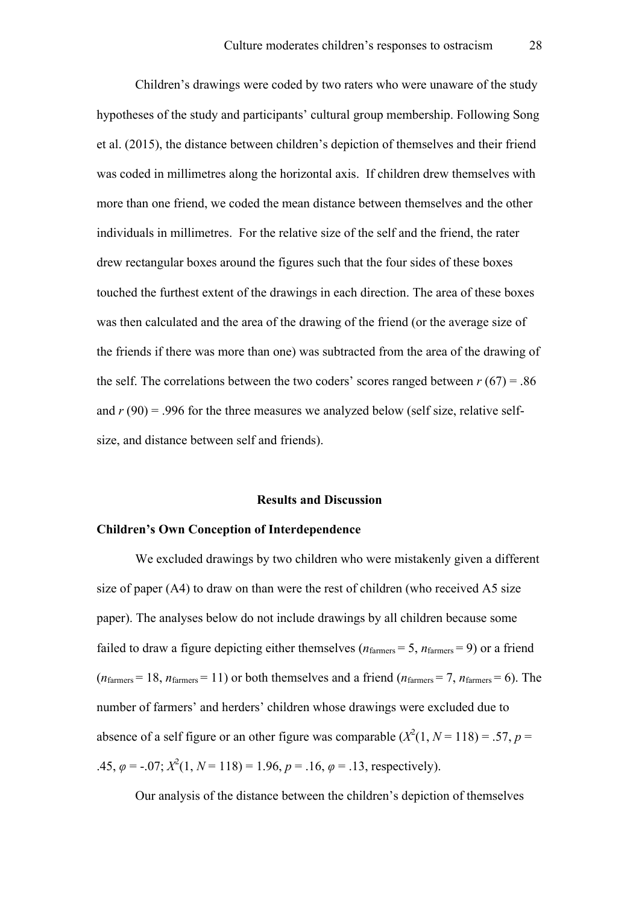Children's drawings were coded by two raters who were unaware of the study hypotheses of the study and participants' cultural group membership. Following Song et al. (2015), the distance between children's depiction of themselves and their friend was coded in millimetres along the horizontal axis. If children drew themselves with more than one friend, we coded the mean distance between themselves and the other individuals in millimetres. For the relative size of the self and the friend, the rater drew rectangular boxes around the figures such that the four sides of these boxes touched the furthest extent of the drawings in each direction. The area of these boxes was then calculated and the area of the drawing of the friend (or the average size of the friends if there was more than one) was subtracted from the area of the drawing of the self. The correlations between the two coders' scores ranged between  $r(67) = .86$ and  $r(90) = .996$  for the three measures we analyzed below (self size, relative selfsize, and distance between self and friends).

#### **Results and Discussion**

#### **Children's Own Conception of Interdependence**

We excluded drawings by two children who were mistakenly given a different size of paper (A4) to draw on than were the rest of children (who received A5 size paper). The analyses below do not include drawings by all children because some failed to draw a figure depicting either themselves ( $n_{\text{farmers}} = 5$ ,  $n_{\text{farmers}} = 9$ ) or a friend  $(n<sub>farmers</sub> = 18, n<sub>farmers</sub> = 11)$  or both themselves and a friend  $(n<sub>farmers</sub> = 7, n<sub>farmers</sub> = 6)$ . The number of farmers' and herders' children whose drawings were excluded due to absence of a self figure or an other figure was comparable  $(X^2(1, N = 118) = .57, p =$ .45,  $\varphi = -0.07$ ;  $X^2(1, N = 118) = 1.96$ ,  $p = .16$ ,  $\varphi = .13$ , respectively).

Our analysis of the distance between the children's depiction of themselves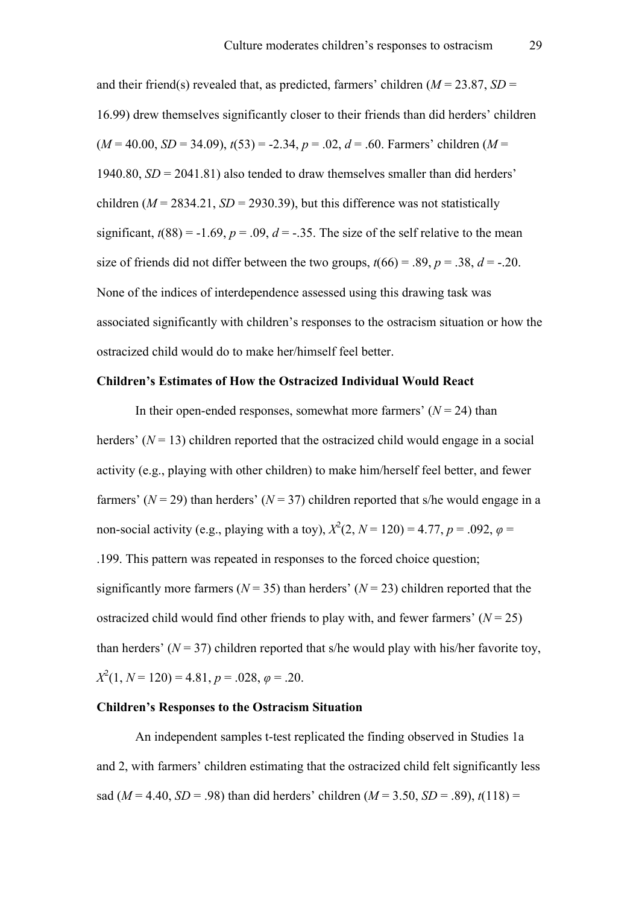and their friend(s) revealed that, as predicted, farmers' children  $(M = 23.87, SD =$ 16.99) drew themselves significantly closer to their friends than did herders' children  $(M = 40.00, SD = 34.09)$ ,  $t(53) = -2.34$ ,  $p = .02$ ,  $d = .60$ . Farmers' children  $(M = 10.00)$ 1940.80, *SD* = 2041.81) also tended to draw themselves smaller than did herders' children  $(M = 2834.21, SD = 2930.39)$ , but this difference was not statistically significant,  $t(88) = -1.69$ ,  $p = .09$ ,  $d = -0.35$ . The size of the self relative to the mean size of friends did not differ between the two groups,  $t(66) = .89$ ,  $p = .38$ ,  $d = -.20$ . None of the indices of interdependence assessed using this drawing task was associated significantly with children's responses to the ostracism situation or how the ostracized child would do to make her/himself feel better.

# **Children's Estimates of How the Ostracized Individual Would React**

In their open-ended responses, somewhat more farmers'  $(N = 24)$  than herders'  $(N = 13)$  children reported that the ostracized child would engage in a social activity (e.g., playing with other children) to make him/herself feel better, and fewer farmers' ( $N = 29$ ) than herders' ( $N = 37$ ) children reported that s/he would engage in a non-social activity (e.g., playing with a toy),  $X^2(2, N = 120) = 4.77, p = .092, \varphi =$ .199. This pattern was repeated in responses to the forced choice question; significantly more farmers ( $N = 35$ ) than herders' ( $N = 23$ ) children reported that the ostracized child would find other friends to play with, and fewer farmers'  $(N = 25)$ than herders' ( $N = 37$ ) children reported that s/he would play with his/her favorite toy, *X* 2 (1, *N* = 120) = 4.81, *p* = .028, *φ* = .20.

# **Children's Responses to the Ostracism Situation**

An independent samples t-test replicated the finding observed in Studies 1a and 2, with farmers' children estimating that the ostracized child felt significantly less sad ( $M = 4.40$ ,  $SD = .98$ ) than did herders' children ( $M = 3.50$ ,  $SD = .89$ ),  $t(118) =$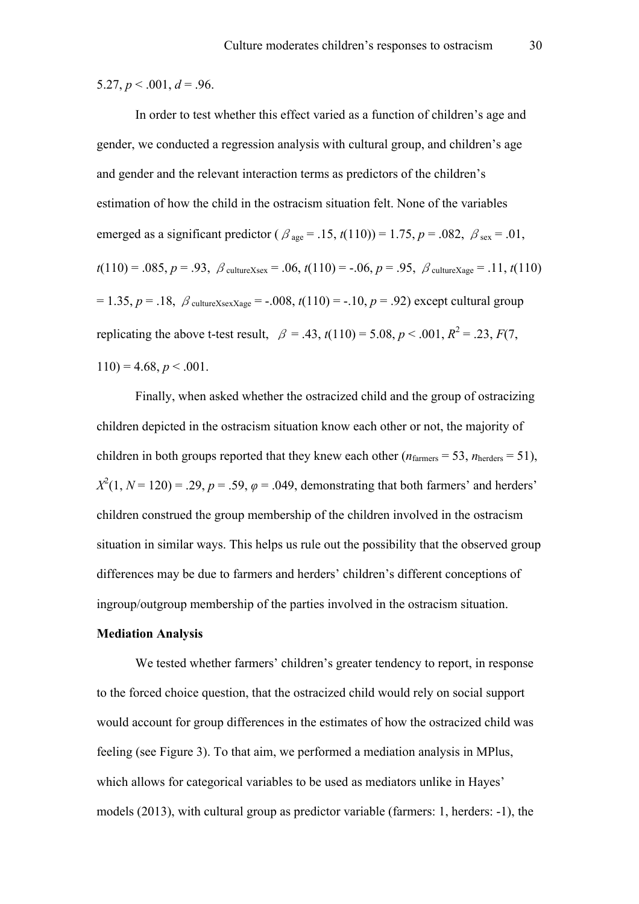5.27,  $p < .001$ ,  $d = .96$ .

In order to test whether this effect varied as a function of children's age and gender, we conducted a regression analysis with cultural group, and children's age and gender and the relevant interaction terms as predictors of the children's estimation of how the child in the ostracism situation felt. None of the variables emerged as a significant predictor ( $\beta_{\text{age}} = .15$ ,  $t(110)$ ) = 1.75,  $p = .082$ ,  $\beta_{\text{sex}} = .01$ ,  $t(110) = .085, p = .93, \ \beta_{\text{cultureXsex}} = .06, t(110) = -.06, p = .95, \ \beta_{\text{cultureXage}} = .11, t(110)$  $= 1.35, p = .18, \beta_{\text{cultureXsexXage}} = -.008, t(110) = -.10, p = .92)$  except cultural group replicating the above t-test result,  $\beta = .43$ ,  $t(110) = 5.08$ ,  $p < .001$ ,  $R^2 = .23$ ,  $F(7)$ ,  $110$ ) = 4.68,  $p < .001$ .

Finally, when asked whether the ostracized child and the group of ostracizing children depicted in the ostracism situation know each other or not, the majority of children in both groups reported that they knew each other ( $n_{\text{farmers}} = 53$ ,  $n_{\text{herders}} = 51$ ),  $X^2(1, N = 120) = .29, p = .59, \varphi = .049$ , demonstrating that both farmers' and herders' children construed the group membership of the children involved in the ostracism situation in similar ways. This helps us rule out the possibility that the observed group differences may be due to farmers and herders' children's different conceptions of ingroup/outgroup membership of the parties involved in the ostracism situation.

#### **Mediation Analysis**

We tested whether farmers' children's greater tendency to report, in response to the forced choice question, that the ostracized child would rely on social support would account for group differences in the estimates of how the ostracized child was feeling (see Figure 3). To that aim, we performed a mediation analysis in MPlus, which allows for categorical variables to be used as mediators unlike in Hayes' models (2013), with cultural group as predictor variable (farmers: 1, herders: -1), the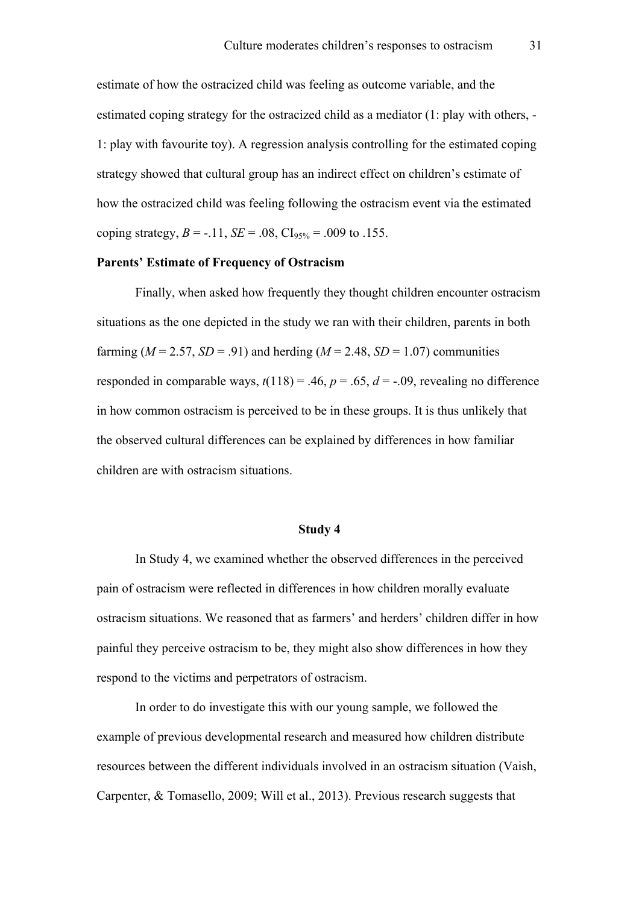estimate of how the ostracized child was feeling as outcome variable, and the estimated coping strategy for the ostracized child as a mediator (1: play with others, - 1: play with favourite toy). A regression analysis controlling for the estimated coping strategy showed that cultural group has an indirect effect on children's estimate of how the ostracized child was feeling following the ostracism event via the estimated coping strategy,  $B = -.11$ ,  $SE = .08$ ,  $CI_{95\%} = .009$  to .155.

# **Parents' Estimate of Frequency of Ostracism**

Finally, when asked how frequently they thought children encounter ostracism situations as the one depicted in the study we ran with their children, parents in both farming  $(M = 2.57, SD = .91)$  and herding  $(M = 2.48, SD = 1.07)$  communities responded in comparable ways,  $t(118) = .46$ ,  $p = .65$ ,  $d = -.09$ , revealing no difference in how common ostracism is perceived to be in these groups. It is thus unlikely that the observed cultural differences can be explained by differences in how familiar children are with ostracism situations.

#### **Study 4**

In Study 4, we examined whether the observed differences in the perceived pain of ostracism were reflected in differences in how children morally evaluate ostracism situations. We reasoned that as farmers' and herders' children differ in how painful they perceive ostracism to be, they might also show differences in how they respond to the victims and perpetrators of ostracism.

In order to do investigate this with our young sample, we followed the example of previous developmental research and measured how children distribute resources between the different individuals involved in an ostracism situation (Vaish, Carpenter, & Tomasello, 2009; Will et al., 2013). Previous research suggests that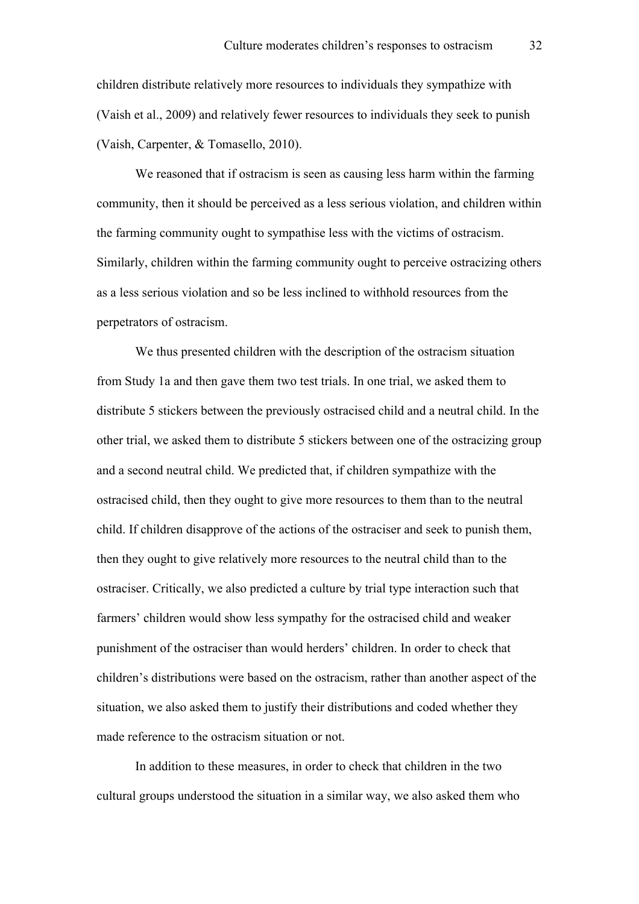children distribute relatively more resources to individuals they sympathize with (Vaish et al., 2009) and relatively fewer resources to individuals they seek to punish (Vaish, Carpenter, & Tomasello, 2010).

We reasoned that if ostracism is seen as causing less harm within the farming community, then it should be perceived as a less serious violation, and children within the farming community ought to sympathise less with the victims of ostracism. Similarly, children within the farming community ought to perceive ostracizing others as a less serious violation and so be less inclined to withhold resources from the perpetrators of ostracism.

We thus presented children with the description of the ostracism situation from Study 1a and then gave them two test trials. In one trial, we asked them to distribute 5 stickers between the previously ostracised child and a neutral child. In the other trial, we asked them to distribute 5 stickers between one of the ostracizing group and a second neutral child. We predicted that, if children sympathize with the ostracised child, then they ought to give more resources to them than to the neutral child. If children disapprove of the actions of the ostraciser and seek to punish them, then they ought to give relatively more resources to the neutral child than to the ostraciser. Critically, we also predicted a culture by trial type interaction such that farmers' children would show less sympathy for the ostracised child and weaker punishment of the ostraciser than would herders' children. In order to check that children's distributions were based on the ostracism, rather than another aspect of the situation, we also asked them to justify their distributions and coded whether they made reference to the ostracism situation or not.

In addition to these measures, in order to check that children in the two cultural groups understood the situation in a similar way, we also asked them who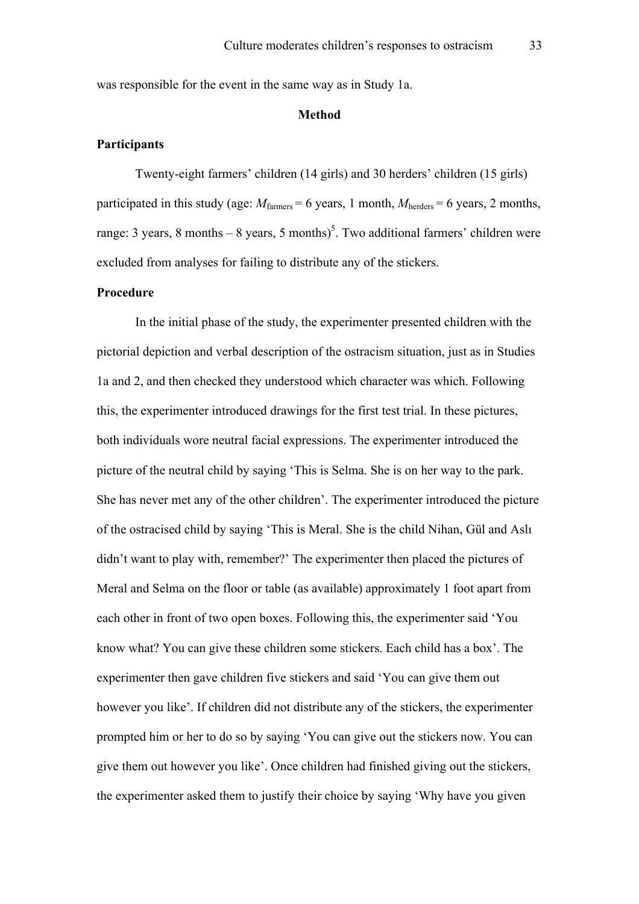was responsible for the event in the same way as in Study 1a.

## **Method**

#### **Participants**

Twenty-eight farmers' children (14 girls) and 30 herders' children (15 girls) participated in this study (age:  $M_{\text{farmers}} = 6$  years, 1 month,  $M_{\text{herders}} = 6$  years, 2 months, range: 3 years, 8 months  $-8$  years, 5 months)<sup>5</sup>. Two additional farmers' children were excluded from analyses for failing to distribute any of the stickers.

#### **Procedure**

In the initial phase of the study, the experimenter presented children with the pictorial depiction and verbal description of the ostracism situation, just as in Studies 1a and 2, and then checked they understood which character was which. Following this, the experimenter introduced drawings for the first test trial. In these pictures, both individuals wore neutral facial expressions. The experimenter introduced the picture of the neutral child by saying 'This is Selma. She is on her way to the park. She has never met any of the other children'. The experimenter introduced the picture of the ostracised child by saying 'This is Meral. She is the child Nihan, Gül and Aslı didn't want to play with, remember?' The experimenter then placed the pictures of Meral and Selma on the floor or table (as available) approximately 1 foot apart from each other in front of two open boxes. Following this, the experimenter said 'You know what? You can give these children some stickers. Each child has a box'. The experimenter then gave children five stickers and said 'You can give them out however you like'. If children did not distribute any of the stickers, the experimenter prompted him or her to do so by saying 'You can give out the stickers now. You can give them out however you like'. Once children had finished giving out the stickers, the experimenter asked them to justify their choice by saying 'Why have you given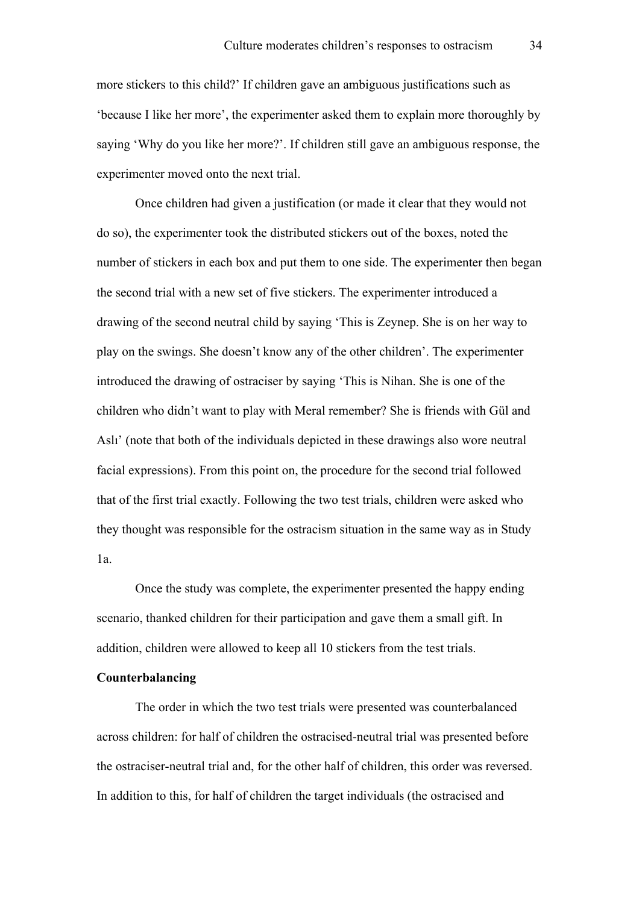more stickers to this child?' If children gave an ambiguous justifications such as 'because I like her more', the experimenter asked them to explain more thoroughly by saying 'Why do you like her more?'. If children still gave an ambiguous response, the experimenter moved onto the next trial.

Once children had given a justification (or made it clear that they would not do so), the experimenter took the distributed stickers out of the boxes, noted the number of stickers in each box and put them to one side. The experimenter then began the second trial with a new set of five stickers. The experimenter introduced a drawing of the second neutral child by saying 'This is Zeynep. She is on her way to play on the swings. She doesn't know any of the other children'. The experimenter introduced the drawing of ostraciser by saying 'This is Nihan. She is one of the children who didn't want to play with Meral remember? She is friends with Gül and Aslı' (note that both of the individuals depicted in these drawings also wore neutral facial expressions). From this point on, the procedure for the second trial followed that of the first trial exactly. Following the two test trials, children were asked who they thought was responsible for the ostracism situation in the same way as in Study 1a.

Once the study was complete, the experimenter presented the happy ending scenario, thanked children for their participation and gave them a small gift. In addition, children were allowed to keep all 10 stickers from the test trials.

# **Counterbalancing**

The order in which the two test trials were presented was counterbalanced across children: for half of children the ostracised-neutral trial was presented before the ostraciser-neutral trial and, for the other half of children, this order was reversed. In addition to this, for half of children the target individuals (the ostracised and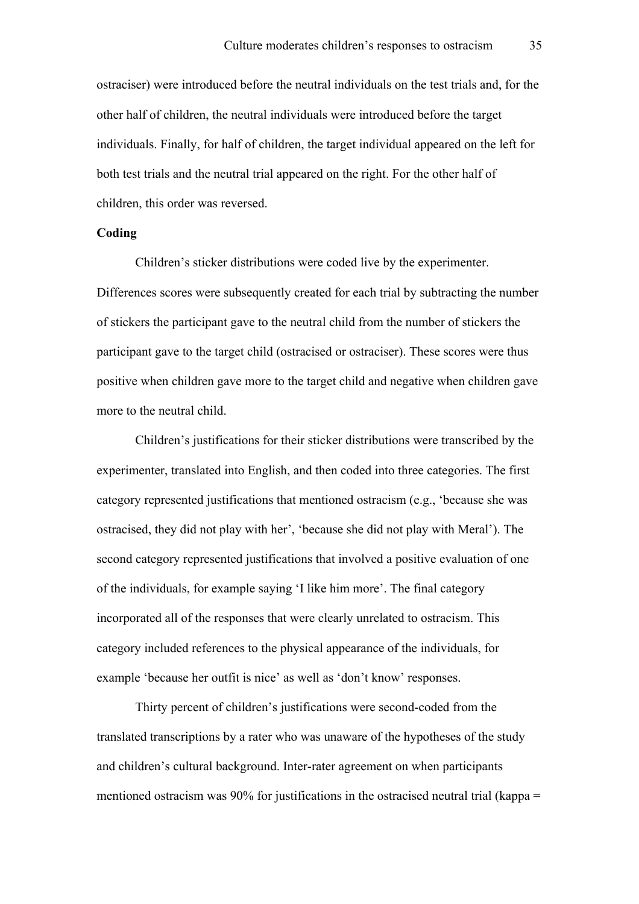ostraciser) were introduced before the neutral individuals on the test trials and, for the other half of children, the neutral individuals were introduced before the target individuals. Finally, for half of children, the target individual appeared on the left for both test trials and the neutral trial appeared on the right. For the other half of children, this order was reversed.

# **Coding**

Children's sticker distributions were coded live by the experimenter. Differences scores were subsequently created for each trial by subtracting the number of stickers the participant gave to the neutral child from the number of stickers the participant gave to the target child (ostracised or ostraciser). These scores were thus positive when children gave more to the target child and negative when children gave more to the neutral child.

Children's justifications for their sticker distributions were transcribed by the experimenter, translated into English, and then coded into three categories. The first category represented justifications that mentioned ostracism (e.g., 'because she was ostracised, they did not play with her', 'because she did not play with Meral'). The second category represented justifications that involved a positive evaluation of one of the individuals, for example saying 'I like him more'. The final category incorporated all of the responses that were clearly unrelated to ostracism. This category included references to the physical appearance of the individuals, for example 'because her outfit is nice' as well as 'don't know' responses.

Thirty percent of children's justifications were second-coded from the translated transcriptions by a rater who was unaware of the hypotheses of the study and children's cultural background. Inter-rater agreement on when participants mentioned ostracism was 90% for justifications in the ostracised neutral trial (kappa =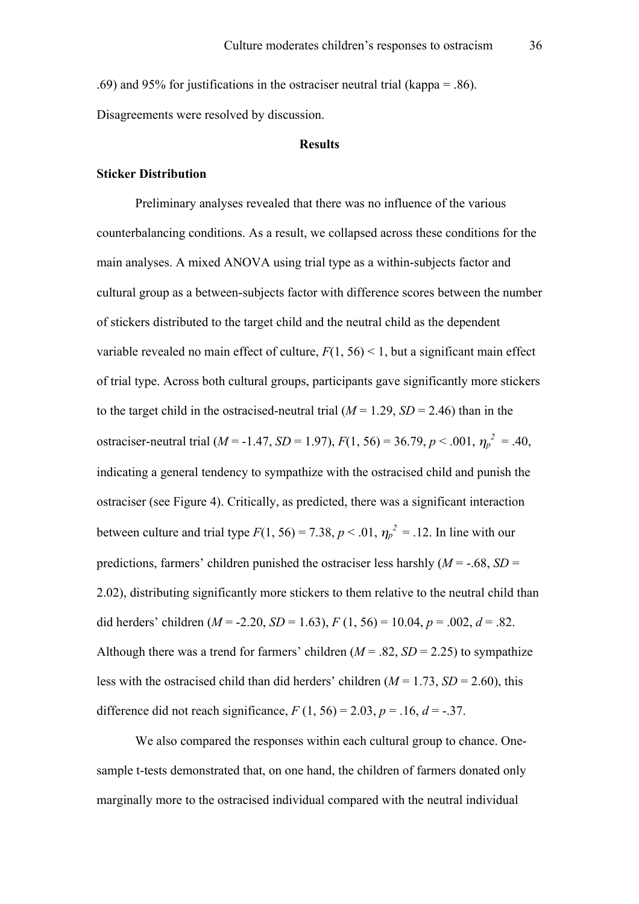.69) and 95% for justifications in the ostraciser neutral trial (kappa = .86). Disagreements were resolved by discussion.

#### **Results**

# **Sticker Distribution**

Preliminary analyses revealed that there was no influence of the various counterbalancing conditions. As a result, we collapsed across these conditions for the main analyses. A mixed ANOVA using trial type as a within-subjects factor and cultural group as a between-subjects factor with difference scores between the number of stickers distributed to the target child and the neutral child as the dependent variable revealed no main effect of culture,  $F(1, 56) < 1$ , but a significant main effect of trial type. Across both cultural groups, participants gave significantly more stickers to the target child in the ostracised-neutral trial  $(M = 1.29, SD = 2.46)$  than in the ostraciser-neutral trial ( $M = -1.47$ ,  $SD = 1.97$ ),  $F(1, 56) = 36.79$ ,  $p < .001$ ,  $\eta_p^2 = .40$ , indicating a general tendency to sympathize with the ostracised child and punish the ostraciser (see Figure 4). Critically, as predicted, there was a significant interaction between culture and trial type  $F(1, 56) = 7.38$ ,  $p < .01$ ,  $\eta_p^2 = .12$ . In line with our predictions, farmers' children punished the ostraciser less harshly  $(M = -.68, SD =$ 2.02), distributing significantly more stickers to them relative to the neutral child than did herders' children  $(M = -2.20, SD = 1.63)$ ,  $F(1, 56) = 10.04$ ,  $p = .002$ ,  $d = .82$ . Although there was a trend for farmers' children  $(M = .82, SD = 2.25)$  to sympathize less with the ostracised child than did herders' children  $(M = 1.73, SD = 2.60)$ , this difference did not reach significance,  $F(1, 56) = 2.03$ ,  $p = .16$ ,  $d = -.37$ .

We also compared the responses within each cultural group to chance. Onesample t-tests demonstrated that, on one hand, the children of farmers donated only marginally more to the ostracised individual compared with the neutral individual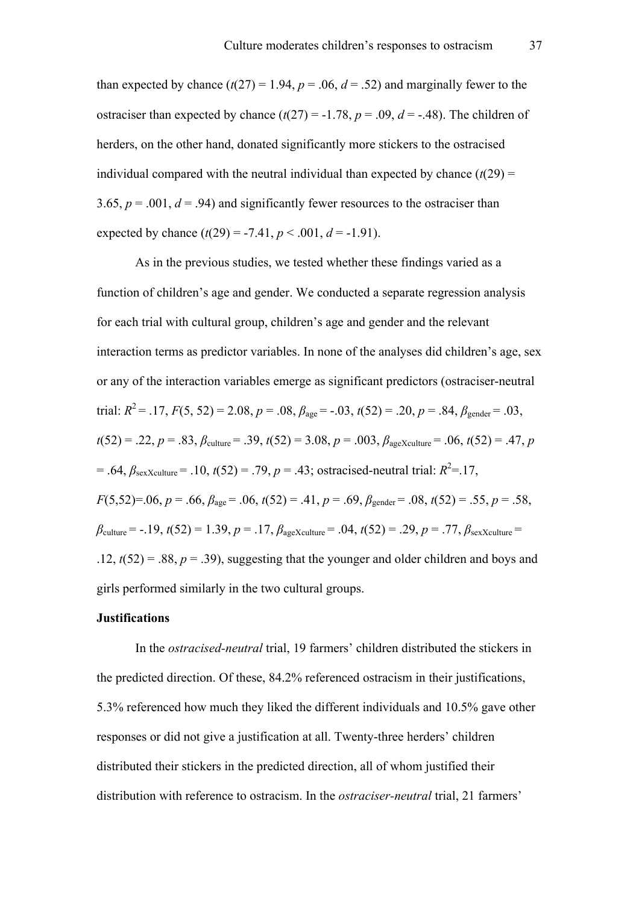than expected by chance  $(t(27) = 1.94, p = .06, d = .52)$  and marginally fewer to the ostraciser than expected by chance  $(t(27) = -1.78, p = .09, d = -.48)$ . The children of herders, on the other hand, donated significantly more stickers to the ostracised individual compared with the neutral individual than expected by chance  $(t(29) =$ 3.65,  $p = .001$ ,  $d = .94$ ) and significantly fewer resources to the ostraciser than expected by chance  $(t(29) = -7.41, p < .001, d = -1.91)$ .

As in the previous studies, we tested whether these findings varied as a function of children's age and gender. We conducted a separate regression analysis for each trial with cultural group, children's age and gender and the relevant interaction terms as predictor variables. In none of the analyses did children's age, sex or any of the interaction variables emerge as significant predictors (ostraciser-neutral trial:  $R^2 = .17$ ,  $F(5, 52) = 2.08$ ,  $p = .08$ ,  $\beta_{\text{age}} = -.03$ ,  $t(52) = .20$ ,  $p = .84$ ,  $\beta_{\text{gender}} = .03$ ,  $t(52) = .22$ ,  $p = .83$ ,  $\beta_{\text{culture}} = .39$ ,  $t(52) = 3.08$ ,  $p = .003$ ,  $\beta_{\text{ageXculture}} = .06$ ,  $t(52) = .47$ , *p*  $= .64, \beta_{\text{sexXculture}} = .10, t(52) = .79, p = .43$ ; ostracised-neutral trial:  $R^2 = .17$ , *F*(5,52)=.06, *p* = .66,  $\beta_{\text{ace}}$  = .06,  $t(52)$  = .41, *p* = .69,  $\beta_{\text{gender}}$  = .08,  $t(52)$  = .55, *p* = .58,  $\beta_{\text{culture}} = -.19, t(52) = 1.39, p = .17, \beta_{\text{age} \text{Xculture}} = .04, t(52) = .29, p = .77, \beta_{\text{sex} \text{Xculture}} =$ .12,  $t(52) = .88$ ,  $p = .39$ ), suggesting that the younger and older children and boys and girls performed similarly in the two cultural groups.

# **Justifications**

In the *ostracised-neutral* trial, 19 farmers' children distributed the stickers in the predicted direction. Of these, 84.2% referenced ostracism in their justifications, 5.3% referenced how much they liked the different individuals and 10.5% gave other responses or did not give a justification at all. Twenty-three herders' children distributed their stickers in the predicted direction, all of whom justified their distribution with reference to ostracism. In the *ostraciser-neutral* trial, 21 farmers'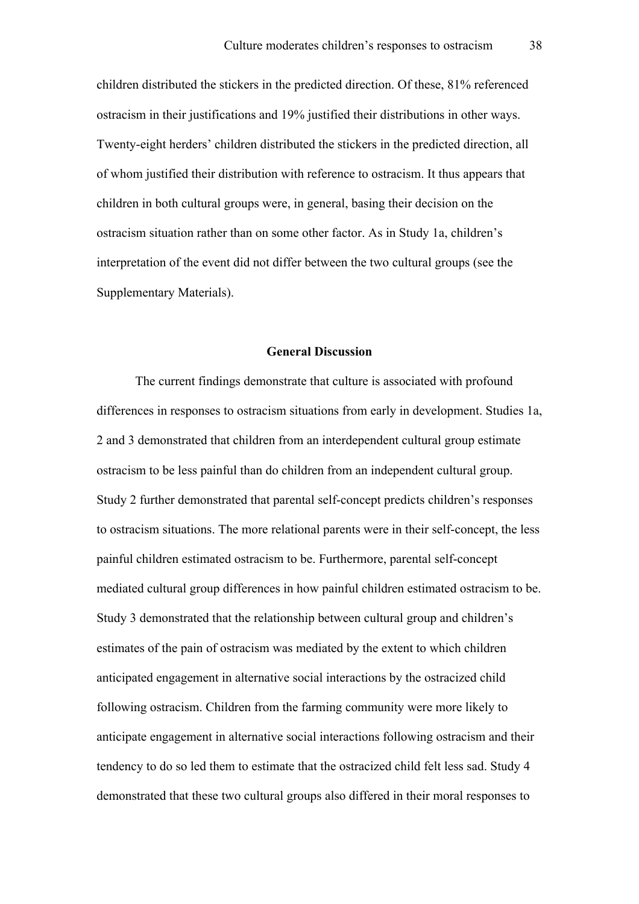children distributed the stickers in the predicted direction. Of these, 81% referenced ostracism in their justifications and 19% justified their distributions in other ways. Twenty-eight herders' children distributed the stickers in the predicted direction, all of whom justified their distribution with reference to ostracism. It thus appears that children in both cultural groups were, in general, basing their decision on the ostracism situation rather than on some other factor. As in Study 1a, children's interpretation of the event did not differ between the two cultural groups (see the Supplementary Materials).

## **General Discussion**

The current findings demonstrate that culture is associated with profound differences in responses to ostracism situations from early in development. Studies 1a, 2 and 3 demonstrated that children from an interdependent cultural group estimate ostracism to be less painful than do children from an independent cultural group. Study 2 further demonstrated that parental self-concept predicts children's responses to ostracism situations. The more relational parents were in their self-concept, the less painful children estimated ostracism to be. Furthermore, parental self-concept mediated cultural group differences in how painful children estimated ostracism to be. Study 3 demonstrated that the relationship between cultural group and children's estimates of the pain of ostracism was mediated by the extent to which children anticipated engagement in alternative social interactions by the ostracized child following ostracism. Children from the farming community were more likely to anticipate engagement in alternative social interactions following ostracism and their tendency to do so led them to estimate that the ostracized child felt less sad. Study 4 demonstrated that these two cultural groups also differed in their moral responses to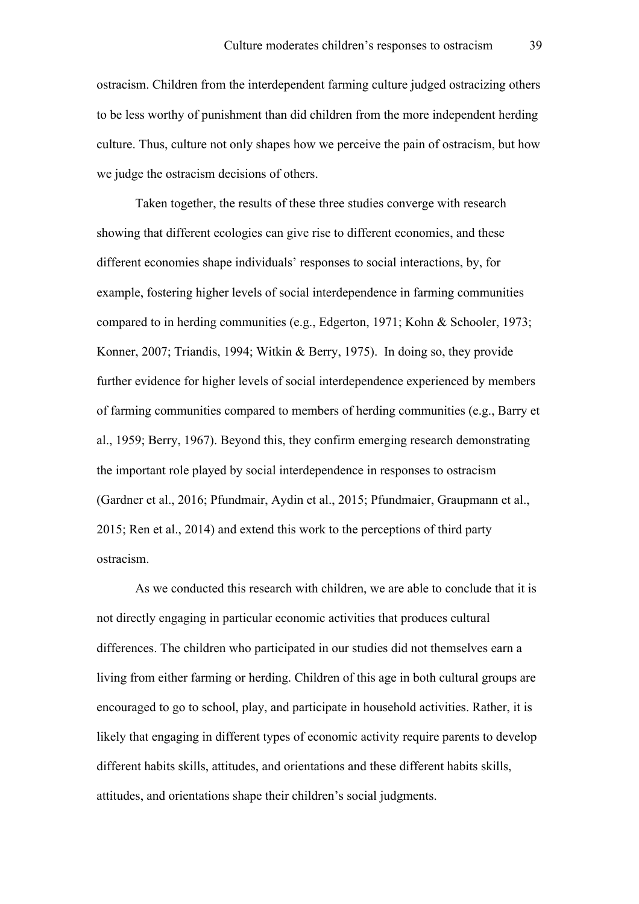ostracism. Children from the interdependent farming culture judged ostracizing others to be less worthy of punishment than did children from the more independent herding culture. Thus, culture not only shapes how we perceive the pain of ostracism, but how we judge the ostracism decisions of others.

Taken together, the results of these three studies converge with research showing that different ecologies can give rise to different economies, and these different economies shape individuals' responses to social interactions, by, for example, fostering higher levels of social interdependence in farming communities compared to in herding communities (e.g., Edgerton, 1971; Kohn & Schooler, 1973; Konner, 2007; Triandis, 1994; Witkin & Berry, 1975). In doing so, they provide further evidence for higher levels of social interdependence experienced by members of farming communities compared to members of herding communities (e.g., Barry et al., 1959; Berry, 1967). Beyond this, they confirm emerging research demonstrating the important role played by social interdependence in responses to ostracism (Gardner et al., 2016; Pfundmair, Aydin et al., 2015; Pfundmaier, Graupmann et al., 2015; Ren et al., 2014) and extend this work to the perceptions of third party ostracism.

As we conducted this research with children, we are able to conclude that it is not directly engaging in particular economic activities that produces cultural differences. The children who participated in our studies did not themselves earn a living from either farming or herding. Children of this age in both cultural groups are encouraged to go to school, play, and participate in household activities. Rather, it is likely that engaging in different types of economic activity require parents to develop different habits skills, attitudes, and orientations and these different habits skills, attitudes, and orientations shape their children's social judgments.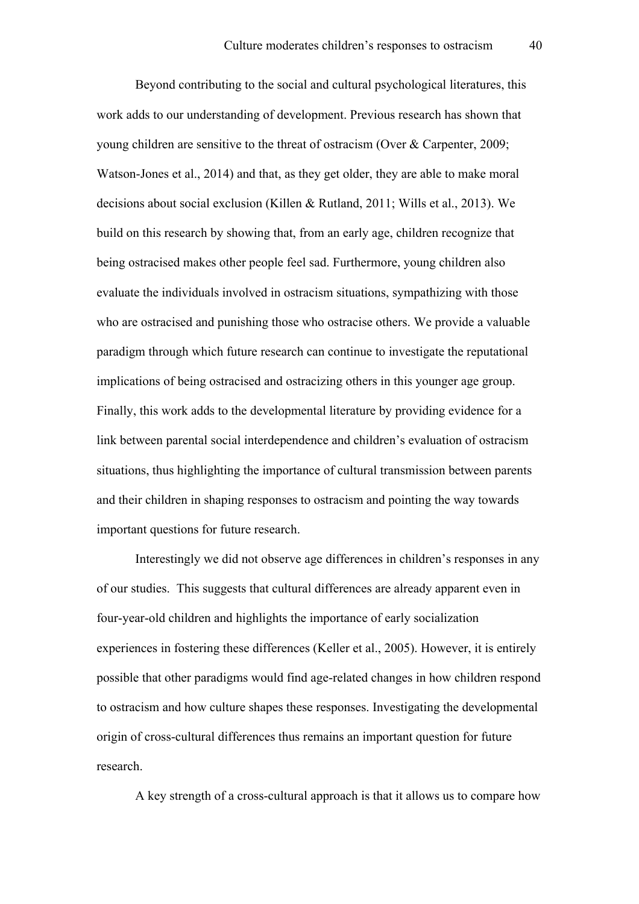Beyond contributing to the social and cultural psychological literatures, this work adds to our understanding of development. Previous research has shown that young children are sensitive to the threat of ostracism (Over & Carpenter, 2009; Watson-Jones et al., 2014) and that, as they get older, they are able to make moral decisions about social exclusion (Killen & Rutland, 2011; Wills et al., 2013). We build on this research by showing that, from an early age, children recognize that being ostracised makes other people feel sad. Furthermore, young children also evaluate the individuals involved in ostracism situations, sympathizing with those who are ostracised and punishing those who ostracise others. We provide a valuable paradigm through which future research can continue to investigate the reputational implications of being ostracised and ostracizing others in this younger age group. Finally, this work adds to the developmental literature by providing evidence for a link between parental social interdependence and children's evaluation of ostracism situations, thus highlighting the importance of cultural transmission between parents and their children in shaping responses to ostracism and pointing the way towards important questions for future research.

Interestingly we did not observe age differences in children's responses in any of our studies. This suggests that cultural differences are already apparent even in four-year-old children and highlights the importance of early socialization experiences in fostering these differences (Keller et al., 2005). However, it is entirely possible that other paradigms would find age-related changes in how children respond to ostracism and how culture shapes these responses. Investigating the developmental origin of cross-cultural differences thus remains an important question for future research.

A key strength of a cross-cultural approach is that it allows us to compare how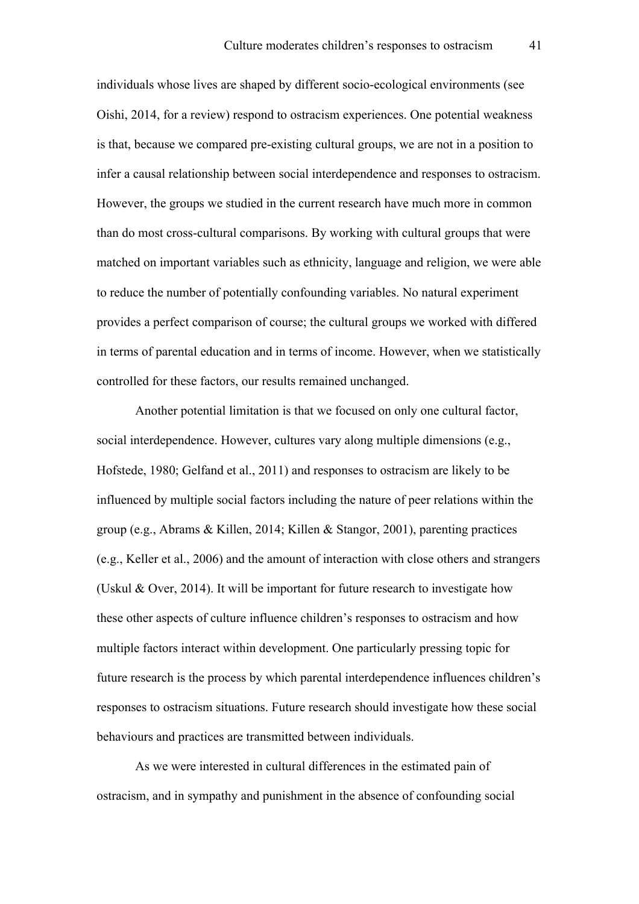individuals whose lives are shaped by different socio-ecological environments (see Oishi, 2014, for a review) respond to ostracism experiences. One potential weakness is that, because we compared pre-existing cultural groups, we are not in a position to infer a causal relationship between social interdependence and responses to ostracism. However, the groups we studied in the current research have much more in common than do most cross-cultural comparisons. By working with cultural groups that were matched on important variables such as ethnicity, language and religion, we were able to reduce the number of potentially confounding variables. No natural experiment provides a perfect comparison of course; the cultural groups we worked with differed in terms of parental education and in terms of income. However, when we statistically controlled for these factors, our results remained unchanged.

Another potential limitation is that we focused on only one cultural factor, social interdependence. However, cultures vary along multiple dimensions (e.g., Hofstede, 1980; Gelfand et al., 2011) and responses to ostracism are likely to be influenced by multiple social factors including the nature of peer relations within the group (e.g., Abrams & Killen, 2014; Killen & Stangor, 2001), parenting practices (e.g., Keller et al., 2006) and the amount of interaction with close others and strangers (Uskul & Over, 2014). It will be important for future research to investigate how these other aspects of culture influence children's responses to ostracism and how multiple factors interact within development. One particularly pressing topic for future research is the process by which parental interdependence influences children's responses to ostracism situations. Future research should investigate how these social behaviours and practices are transmitted between individuals.

As we were interested in cultural differences in the estimated pain of ostracism, and in sympathy and punishment in the absence of confounding social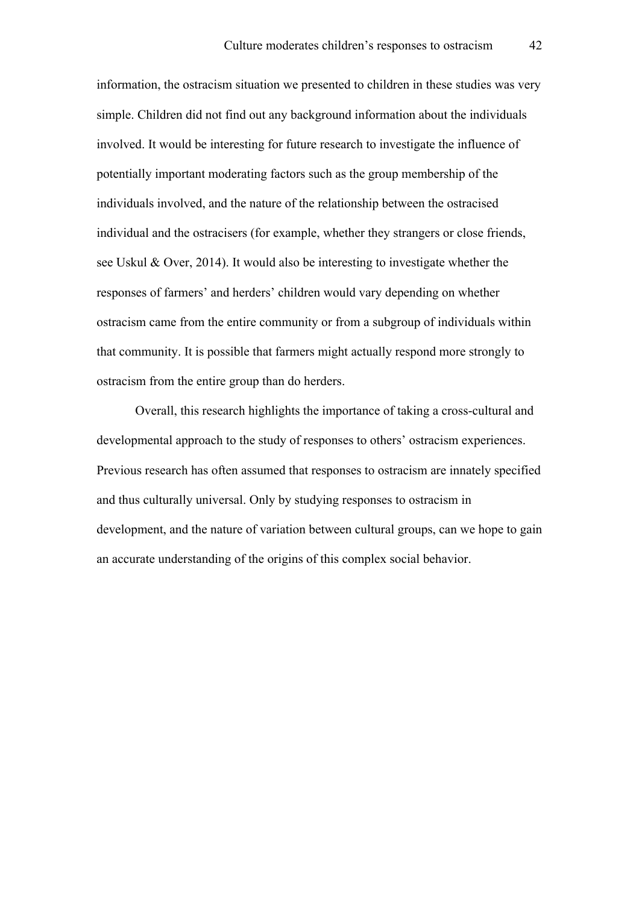information, the ostracism situation we presented to children in these studies was very simple. Children did not find out any background information about the individuals involved. It would be interesting for future research to investigate the influence of potentially important moderating factors such as the group membership of the individuals involved, and the nature of the relationship between the ostracised individual and the ostracisers (for example, whether they strangers or close friends, see Uskul & Over, 2014). It would also be interesting to investigate whether the responses of farmers' and herders' children would vary depending on whether ostracism came from the entire community or from a subgroup of individuals within that community. It is possible that farmers might actually respond more strongly to ostracism from the entire group than do herders.

Overall, this research highlights the importance of taking a cross-cultural and developmental approach to the study of responses to others' ostracism experiences. Previous research has often assumed that responses to ostracism are innately specified and thus culturally universal. Only by studying responses to ostracism in development, and the nature of variation between cultural groups, can we hope to gain an accurate understanding of the origins of this complex social behavior.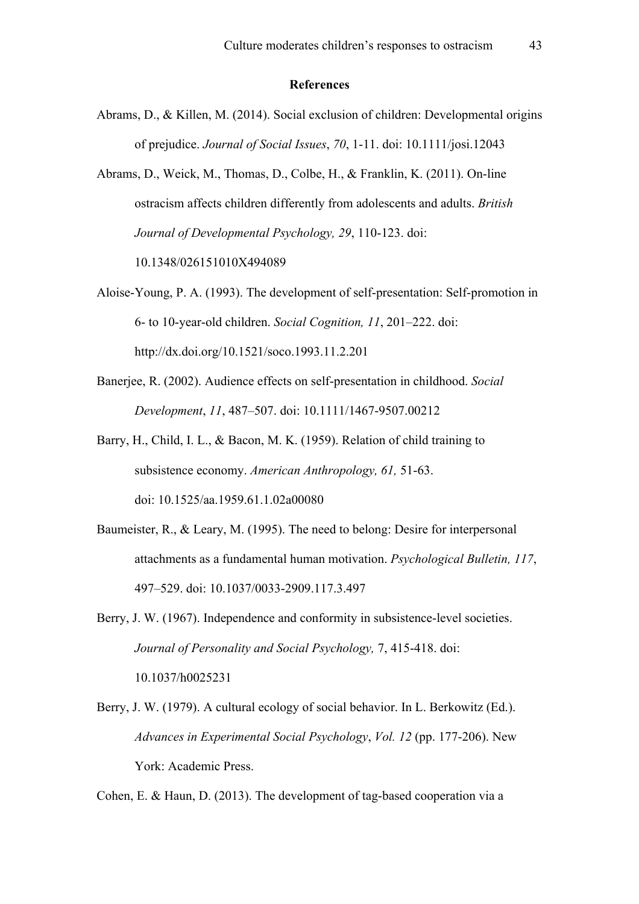#### **References**

Abrams, D., & Killen, M. (2014). Social exclusion of children: Developmental origins of prejudice. *Journal of Social Issues*, *70*, 1-11. doi: 10.1111/josi.12043

Abrams, D., Weick, M., Thomas, D., Colbe, H., & Franklin, K. (2011). On-line ostracism affects children differently from adolescents and adults. *British Journal of Developmental Psychology, 29*, 110-123. doi: 10.1348/026151010X494089

Aloise-Young, P. A. (1993). The development of self-presentation: Self-promotion in 6- to 10-year-old children. *Social Cognition, 11*, 201–222. doi: http://dx.doi.org/10.1521/soco.1993.11.2.201

- Banerjee, R. (2002). Audience effects on self-presentation in childhood. *Social Development*, *11*, 487–507. doi: 10.1111/1467-9507.00212
- Barry, H., Child, I. L., & Bacon, M. K. (1959). Relation of child training to subsistence economy. *American Anthropology, 61,* 51-63. doi: 10.1525/aa.1959.61.1.02a00080
- Baumeister, R., & Leary, M. (1995). The need to belong: Desire for interpersonal attachments as a fundamental human motivation. *Psychological Bulletin, 117*, 497–529. doi: 10.1037/0033-2909.117.3.497

Berry, J. W. (1967). Independence and conformity in subsistence-level societies. *Journal of Personality and Social Psychology,* 7, 415-418. doi: 10.1037/h0025231

Berry, J. W. (1979). A cultural ecology of social behavior. In L. Berkowitz (Ed.). *Advances in Experimental Social Psychology*, *Vol. 12* (pp. 177-206). New York: Academic Press.

Cohen, E. & Haun, D. (2013). The development of tag-based cooperation via a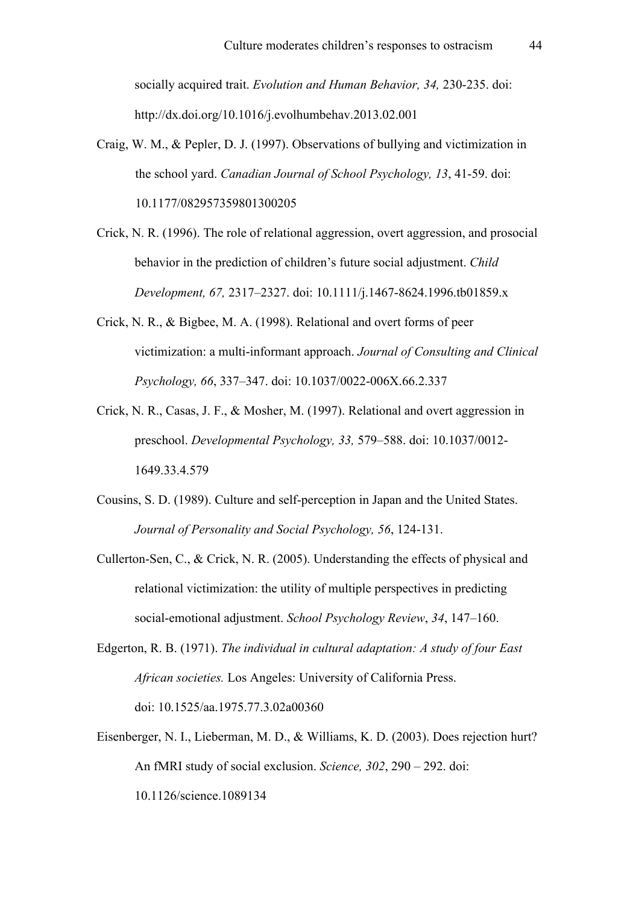socially acquired trait. *Evolution and Human Behavior, 34,* 230-235. doi: http://dx.doi.org/10.1016/j.evolhumbehav.2013.02.001

- Craig, W. M., & Pepler, D. J. (1997). Observations of bullying and victimization in the school yard. *Canadian Journal of School Psychology, 13*, 41-59. doi: 10.1177/082957359801300205
- Crick, N. R. (1996). The role of relational aggression, overt aggression, and prosocial behavior in the prediction of children's future social adjustment. *Child Development, 67,* 2317–2327. doi: 10.1111/j.1467-8624.1996.tb01859.x
- Crick, N. R., & Bigbee, M. A. (1998). Relational and overt forms of peer victimization: a multi-informant approach. *Journal of Consulting and Clinical Psychology, 66*, 337–347. doi: 10.1037/0022-006X.66.2.337
- Crick, N. R., Casas, J. F., & Mosher, M. (1997). Relational and overt aggression in preschool. *Developmental Psychology, 33,* 579–588. doi: 10.1037/0012- 1649.33.4.579
- Cousins, S. D. (1989). Culture and self-perception in Japan and the United States. *Journal of Personality and Social Psychology, 56*, 124-131.
- Cullerton-Sen, C., & Crick, N. R. (2005). Understanding the effects of physical and relational victimization: the utility of multiple perspectives in predicting social-emotional adjustment. *School Psychology Review*, *34*, 147–160.
- Edgerton, R. B. (1971). *The individual in cultural adaptation: A study of four East African societies.* Los Angeles: University of California Press. doi: 10.1525/aa.1975.77.3.02a00360
- Eisenberger, N. I., Lieberman, M. D., & Williams, K. D. (2003). Does rejection hurt? An fMRI study of social exclusion. *Science, 302*, 290 – 292. doi: 10.1126/science.1089134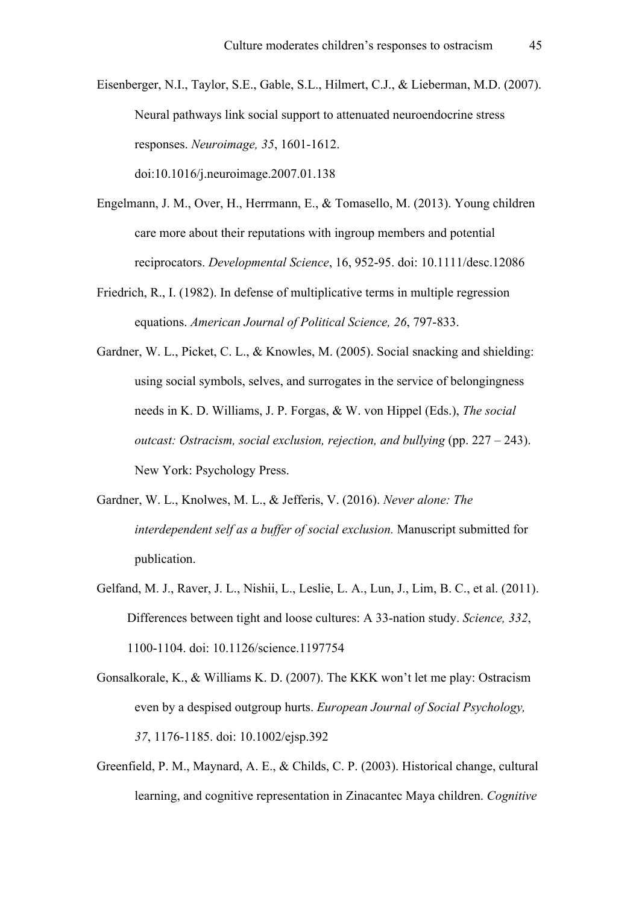Eisenberger, N.I., Taylor, S.E., Gable, S.L., Hilmert, C.J., & Lieberman, M.D. (2007). Neural pathways link social support to attenuated neuroendocrine stress responses. *Neuroimage, 35*, 1601-1612. doi:10.1016/j.neuroimage.2007.01.138

- Engelmann, J. M., Over, H., Herrmann, E., & Tomasello, M. (2013). Young children care more about their reputations with ingroup members and potential reciprocators. *Developmental Science*, 16, 952-95. doi: 10.1111/desc.12086
- Friedrich, R., I. (1982). In defense of multiplicative terms in multiple regression equations. *American Journal of Political Science, 26*, 797-833.
- Gardner, W. L., Picket, C. L., & Knowles, M. (2005). Social snacking and shielding: using social symbols, selves, and surrogates in the service of belongingness needs in K. D. Williams, J. P. Forgas, & W. von Hippel (Eds.), *The social outcast: Ostracism, social exclusion, rejection, and bullying* (pp. 227 – 243). New York: Psychology Press.
- Gardner, W. L., Knolwes, M. L., & Jefferis, V. (2016). *Never alone: The interdependent self as a buffer of social exclusion.* Manuscript submitted for publication.
- Gelfand, M. J., Raver, J. L., Nishii, L., Leslie, L. A., Lun, J., Lim, B. C., et al. (2011). Differences between tight and loose cultures: A 33-nation study. *Science, 332*, 1100-1104. doi: 10.1126/science.1197754
- Gonsalkorale, K., & Williams K. D. (2007). The KKK won't let me play: Ostracism even by a despised outgroup hurts. *European Journal of Social Psychology, 37*, 1176-1185. doi: 10.1002/ejsp.392
- Greenfield, P. M., Maynard, A. E., & Childs, C. P. (2003). Historical change, cultural learning, and cognitive representation in Zinacantec Maya children. *Cognitive*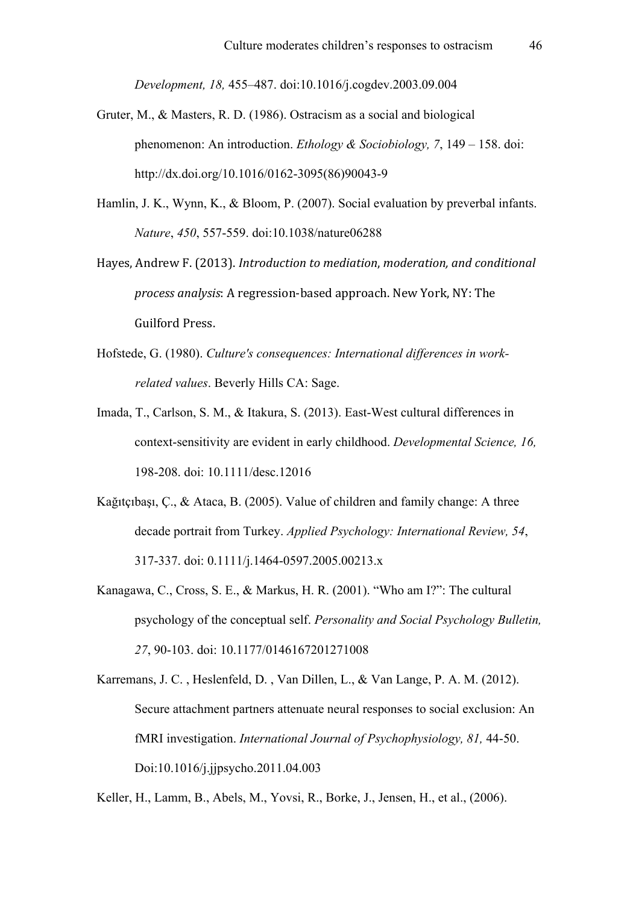*Development, 18,* 455–487. doi:10.1016/j.cogdev.2003.09.004

- Gruter, M., & Masters, R. D. (1986). Ostracism as a social and biological phenomenon: An introduction. *Ethology & Sociobiology, 7*, 149 – 158. doi: http://dx.doi.org/10.1016/0162-3095(86)90043-9
- Hamlin, J. K., Wynn, K., & Bloom, P. (2007). Social evaluation by preverbal infants. *Nature*, *450*, 557-559. doi:10.1038/nature06288
- Hayes, Andrew F. (2013). *Introduction to mediation*, *moderation*, and conditional *process analysis*: A regression-based approach. New York, NY: The Guilford Press.
- Hofstede, G. (1980). *Culture's consequences: International differences in workrelated values*. Beverly Hills CA: Sage.
- Imada, T., Carlson, S. M., & Itakura, S. (2013). East-West cultural differences in context-sensitivity are evident in early childhood. *Developmental Science, 16,*  198-208. doi: 10.1111/desc.12016
- Kağıtçıbaşı, Ç., & Ataca, B. (2005). Value of children and family change: A three decade portrait from Turkey. *Applied Psychology: International Review, 54*, 317-337. doi: 0.1111/j.1464-0597.2005.00213.x
- Kanagawa, C., Cross, S. E., & Markus, H. R. (2001). "Who am I?": The cultural psychology of the conceptual self. *Personality and Social Psychology Bulletin, 27*, 90-103. doi: 10.1177/0146167201271008

Keller, H., Lamm, B., Abels, M., Yovsi, R., Borke, J., Jensen, H., et al., (2006).

Karremans, J. C. , Heslenfeld, D. , Van Dillen, L., & Van Lange, P. A. M. (2012). Secure attachment partners attenuate neural responses to social exclusion: An fMRI investigation. *International Journal of Psychophysiology, 81,* 44-50. Doi:10.1016/j.jjpsycho.2011.04.003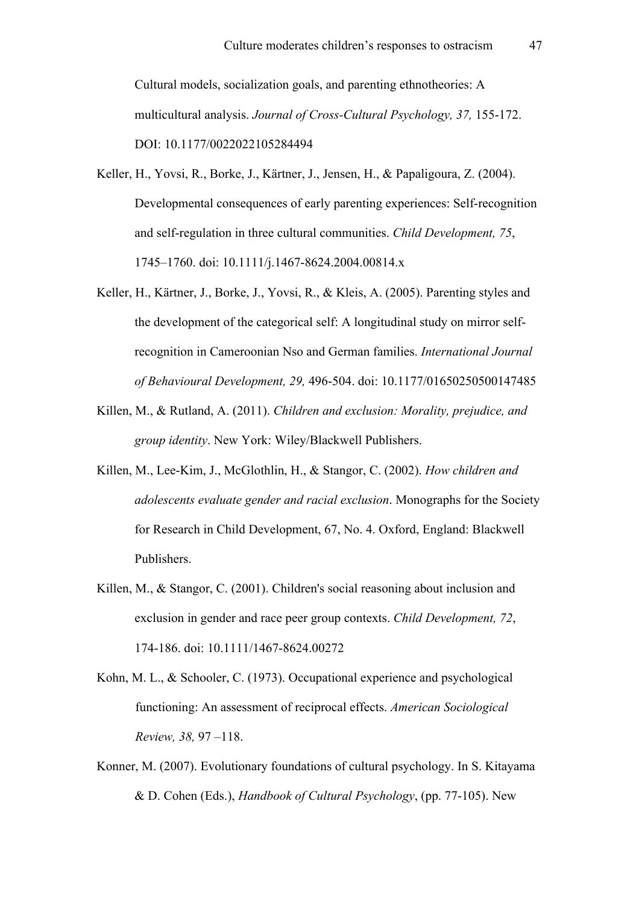Cultural models, socialization goals, and parenting ethnotheories: A multicultural analysis. *Journal of Cross-Cultural Psychology, 37,* 155-172. DOI: 10.1177/0022022105284494

- Keller, H., Yovsi, R., Borke, J., Kärtner, J., Jensen, H., & Papaligoura, Z. (2004). Developmental consequences of early parenting experiences: Self-recognition and self-regulation in three cultural communities. *Child Development, 75*, 1745–1760. doi: 10.1111/j.1467-8624.2004.00814.x
- Keller, H., Kärtner, J., Borke, J., Yovsi, R., & Kleis, A. (2005). Parenting styles and the development of the categorical self: A longitudinal study on mirror selfrecognition in Cameroonian Nso and German families. *International Journal of Behavioural Development, 29,* 496-504. doi: 10.1177/01650250500147485
- Killen, M., & Rutland, A. (2011). *Children and exclusion: Morality, prejudice, and group identity*. New York: Wiley/Blackwell Publishers.
- Killen, M., Lee-Kim, J., McGlothlin, H., & Stangor, C. (2002). *How children and adolescents evaluate gender and racial exclusion*. Monographs for the Society for Research in Child Development, 67, No. 4. Oxford, England: Blackwell Publishers.
- Killen, M., & Stangor, C. (2001). Children's social reasoning about inclusion and exclusion in gender and race peer group contexts. *Child Development, 72*, 174-186. doi: 10.1111/1467-8624.00272
- Kohn, M. L., & Schooler, C. (1973). Occupational experience and psychological functioning: An assessment of reciprocal effects. *American Sociological Review, 38,* 97 –118.
- Konner, M. (2007). Evolutionary foundations of cultural psychology. In S. Kitayama & D. Cohen (Eds.), *Handbook of Cultural Psychology*, (pp. 77-105). New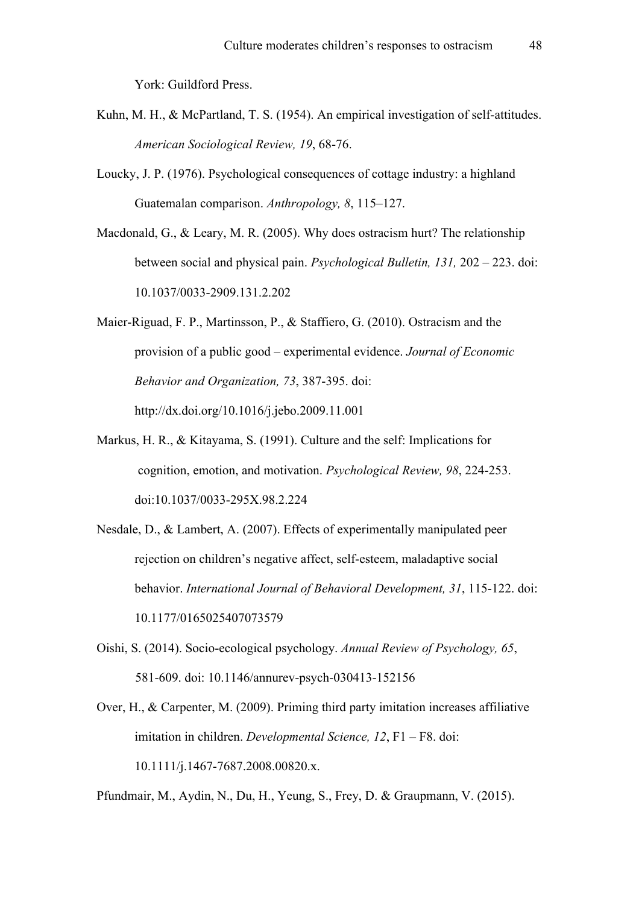York: Guildford Press.

- Kuhn, M. H., & McPartland, T. S. (1954). An empirical investigation of self-attitudes. *American Sociological Review, 19*, 68-76.
- Loucky, J. P. (1976). Psychological consequences of cottage industry: a highland Guatemalan comparison. *Anthropology, 8*, 115–127.
- Macdonald, G., & Leary, M. R. (2005). Why does ostracism hurt? The relationship between social and physical pain. *Psychological Bulletin, 131,* 202 – 223. doi: 10.1037/0033-2909.131.2.202
- Maier-Riguad, F. P., Martinsson, P., & Staffiero, G. (2010). Ostracism and the provision of a public good – experimental evidence. *Journal of Economic Behavior and Organization, 73*, 387-395. doi: http://dx.doi.org/10.1016/j.jebo.2009.11.001
- Markus, H. R., & Kitayama, S. (1991). Culture and the self: Implications for cognition, emotion, and motivation. *Psychological Review, 98*, 224-253. doi:10.1037/0033-295X.98.2.224
- Nesdale, D., & Lambert, A. (2007). Effects of experimentally manipulated peer rejection on children's negative affect, self-esteem, maladaptive social behavior. *International Journal of Behavioral Development, 31*, 115-122. doi: 10.1177/0165025407073579
- Oishi, S. (2014). Socio-ecological psychology. *Annual Review of Psychology, 65*, 581-609. doi: 10.1146/annurev-psych-030413-152156
- Over, H., & Carpenter, M. (2009). Priming third party imitation increases affiliative imitation in children. *Developmental Science, 12*, F1 – F8. doi: 10.1111/j.1467-7687.2008.00820.x.
- Pfundmair, M., Aydin, N., Du, H., Yeung, S., Frey, D. & Graupmann, V. (2015).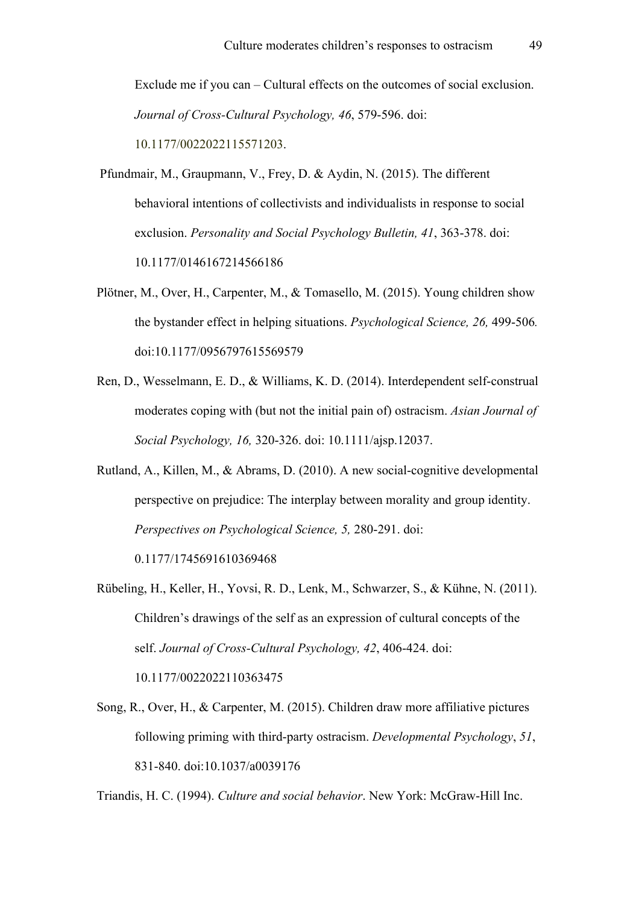Exclude me if you can – Cultural effects on the outcomes of social exclusion. *Journal of Cross-Cultural Psychology, 46*, 579-596. doi: 10.1177/0022022115571203.

- Pfundmair, M., Graupmann, V., Frey, D. & Aydin, N. (2015). The different behavioral intentions of collectivists and individualists in response to social exclusion. *Personality and Social Psychology Bulletin, 41*, 363-378. doi: 10.1177/0146167214566186
- Plötner, M., Over, H., Carpenter, M., & Tomasello, M. (2015). Young children show the bystander effect in helping situations. *Psychological Science, 26,* 499-506*.* doi:10.1177/0956797615569579
- Ren, D., Wesselmann, E. D., & Williams, K. D. (2014). Interdependent self-construal moderates coping with (but not the initial pain of) ostracism. *Asian Journal of Social Psychology, 16,* 320-326. doi: 10.1111/ajsp.12037.
- Rutland, A., Killen, M., & Abrams, D. (2010). A new social-cognitive developmental perspective on prejudice: The interplay between morality and group identity. *Perspectives on Psychological Science, 5,* 280-291. doi: 0.1177/1745691610369468
- Rübeling, H., Keller, H., Yovsi, R. D., Lenk, M., Schwarzer, S., & Kühne, N. (2011). Children's drawings of the self as an expression of cultural concepts of the self. *Journal of Cross-Cultural Psychology, 42*, 406-424. doi: 10.1177/0022022110363475
- Song, R., Over, H., & Carpenter, M. (2015). Children draw more affiliative pictures following priming with third-party ostracism. *Developmental Psychology*, *51*, 831-840. doi:10.1037/a0039176

Triandis, H. C. (1994). *Culture and social behavior*. New York: McGraw-Hill Inc.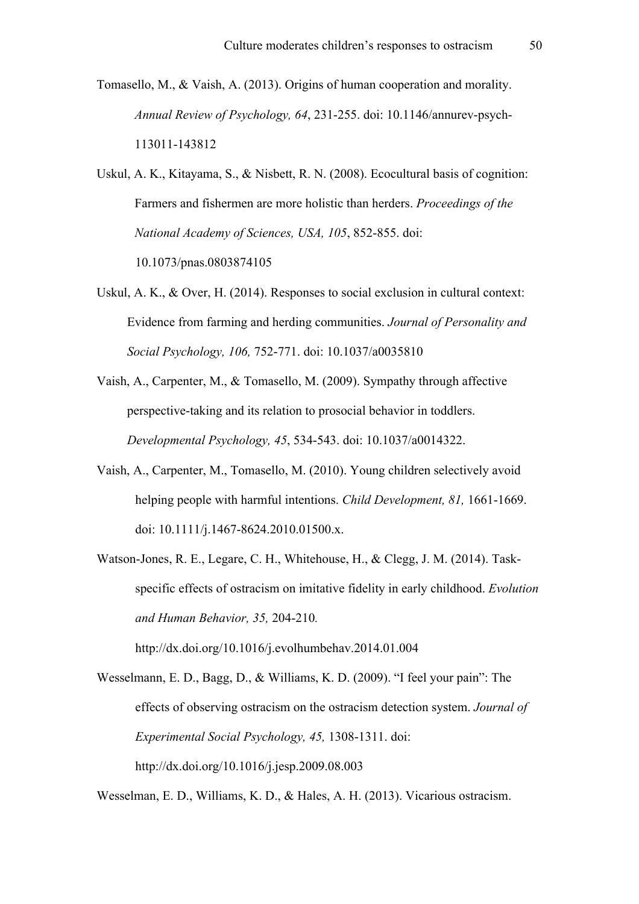- Tomasello, M., & Vaish, A. (2013). Origins of human cooperation and morality. *Annual Review of Psychology, 64*, 231-255. doi: 10.1146/annurev-psych-113011-143812
- Uskul, A. K., Kitayama, S., & Nisbett, R. N. (2008). Ecocultural basis of cognition: Farmers and fishermen are more holistic than herders. *Proceedings of the National Academy of Sciences, USA, 105*, 852-855. doi: 10.1073/pnas.0803874105
- Uskul, A. K., & Over, H. (2014). Responses to social exclusion in cultural context: Evidence from farming and herding communities. *Journal of Personality and Social Psychology, 106,* 752-771. doi: 10.1037/a0035810
- Vaish, A., Carpenter, M., & Tomasello, M. (2009). Sympathy through affective perspective-taking and its relation to prosocial behavior in toddlers. *Developmental Psychology, 45*, 534-543. doi: 10.1037/a0014322.
- Vaish, A., Carpenter, M., Tomasello, M. (2010). Young children selectively avoid helping people with harmful intentions. *Child Development, 81,* 1661-1669. doi: 10.1111/j.1467-8624.2010.01500.x.
- Watson-Jones, R. E., Legare, C. H., Whitehouse, H., & Clegg, J. M. (2014). Taskspecific effects of ostracism on imitative fidelity in early childhood. *Evolution and Human Behavior, 35,* 204-210*.*

http://dx.doi.org/10.1016/j.evolhumbehav.2014.01.004

Wesselmann, E. D., Bagg, D., & Williams, K. D. (2009). "I feel your pain": The effects of observing ostracism on the ostracism detection system. *Journal of Experimental Social Psychology, 45,* 1308-1311. doi: http://dx.doi.org/10.1016/j.jesp.2009.08.003

Wesselman, E. D., Williams, K. D., & Hales, A. H. (2013). Vicarious ostracism.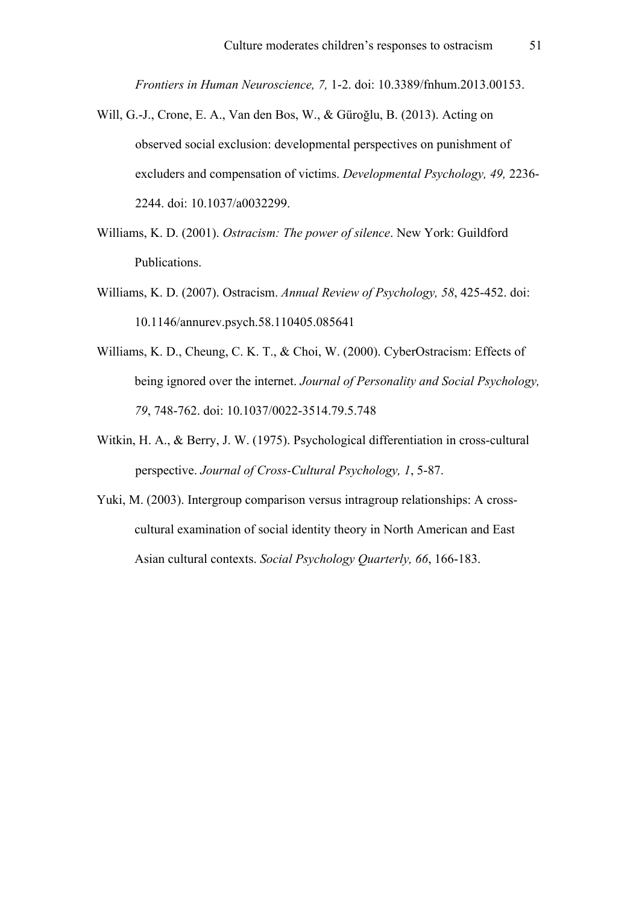*Frontiers in Human Neuroscience, 7,* 1-2. doi: 10.3389/fnhum.2013.00153.

- Will, G.-J., Crone, E. A., Van den Bos, W., & Güroğlu, B. (2013). Acting on observed social exclusion: developmental perspectives on punishment of excluders and compensation of victims. *Developmental Psychology, 49,* 2236- 2244. doi: 10.1037/a0032299.
- Williams, K. D. (2001). *Ostracism: The power of silence*. New York: Guildford Publications.
- Williams, K. D. (2007). Ostracism. *Annual Review of Psychology, 58*, 425-452. doi: 10.1146/annurev.psych.58.110405.085641
- Williams, K. D., Cheung, C. K. T., & Choi, W. (2000). CyberOstracism: Effects of being ignored over the internet. *Journal of Personality and Social Psychology, 79*, 748-762. doi: 10.1037/0022-3514.79.5.748
- Witkin, H. A., & Berry, J. W. (1975). Psychological differentiation in cross-cultural perspective. *Journal of Cross-Cultural Psychology, 1*, 5-87.
- Yuki, M. (2003). Intergroup comparison versus intragroup relationships: A crosscultural examination of social identity theory in North American and East Asian cultural contexts. *Social Psychology Quarterly, 66*, 166-183.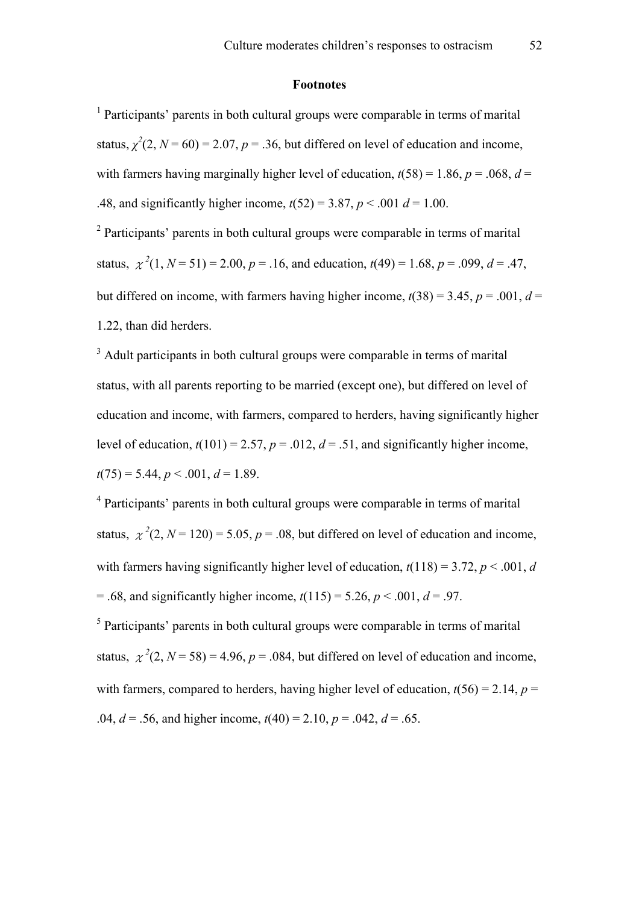#### **Footnotes**

<sup>1</sup> Participants' parents in both cultural groups were comparable in terms of marital status,  $\chi^2(2, N = 60) = 2.07$ ,  $p = .36$ , but differed on level of education and income, with farmers having marginally higher level of education,  $t(58) = 1.86$ ,  $p = .068$ ,  $d =$ .48, and significantly higher income,  $t(52) = 3.87$ ,  $p < .001$   $d = 1.00$ .

<sup>2</sup> Participants' parents in both cultural groups were comparable in terms of marital status,  $\chi^2(1, N = 51) = 2.00, p = .16$ , and education,  $t(49) = 1.68, p = .099, d = .47$ , but differed on income, with farmers having higher income,  $t(38) = 3.45$ ,  $p = .001$ ,  $d =$ 1.22, than did herders.

<sup>3</sup> Adult participants in both cultural groups were comparable in terms of marital status, with all parents reporting to be married (except one), but differed on level of education and income, with farmers, compared to herders, having significantly higher level of education,  $t(101) = 2.57$ ,  $p = .012$ ,  $d = .51$ , and significantly higher income,  $t(75) = 5.44$ ,  $p < .001$ ,  $d = 1.89$ .

<sup>4</sup> Participants' parents in both cultural groups were comparable in terms of marital status,  $\chi^2(2, N = 120) = 5.05$ ,  $p = .08$ , but differed on level of education and income, with farmers having significantly higher level of education,  $t(118) = 3.72$ ,  $p < .001$ , *d*  $= .68$ , and significantly higher income,  $t(115) = 5.26$ ,  $p < .001$ ,  $d = .97$ .

<sup>5</sup> Participants' parents in both cultural groups were comparable in terms of marital status,  $\chi^2(2, N = 58) = 4.96$ ,  $p = .084$ , but differed on level of education and income, with farmers, compared to herders, having higher level of education,  $t(56) = 2.14$ ,  $p =$ .04,  $d = .56$ , and higher income,  $t(40) = 2.10$ ,  $p = .042$ ,  $d = .65$ .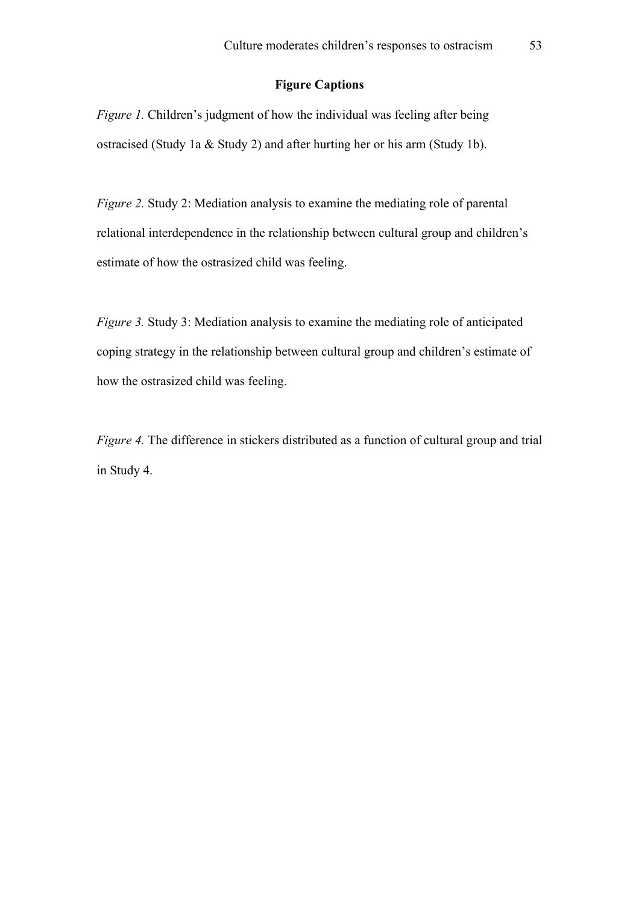# **Figure Captions**

*Figure 1.* Children's judgment of how the individual was feeling after being ostracised (Study 1a & Study 2) and after hurting her or his arm (Study 1b).

*Figure 2.* Study 2: Mediation analysis to examine the mediating role of parental relational interdependence in the relationship between cultural group and children's estimate of how the ostrasized child was feeling.

*Figure 3.* Study 3: Mediation analysis to examine the mediating role of anticipated coping strategy in the relationship between cultural group and children's estimate of how the ostrasized child was feeling.

*Figure 4.* The difference in stickers distributed as a function of cultural group and trial in Study 4.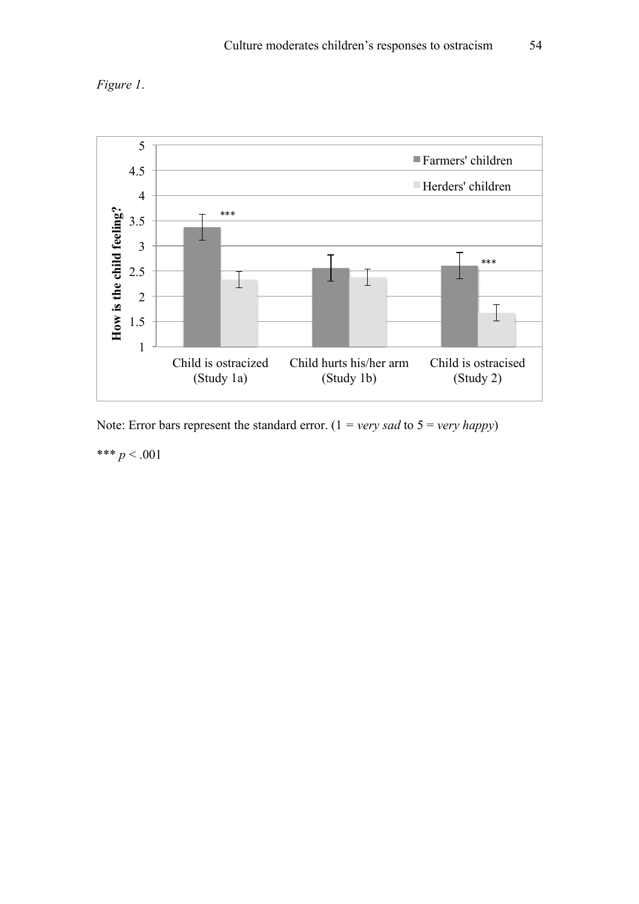



Note: Error bars represent the standard error.  $(1 = very \text{ sad to } 5 = very \text{ happy})$ 

\*\*\*  $p < .001$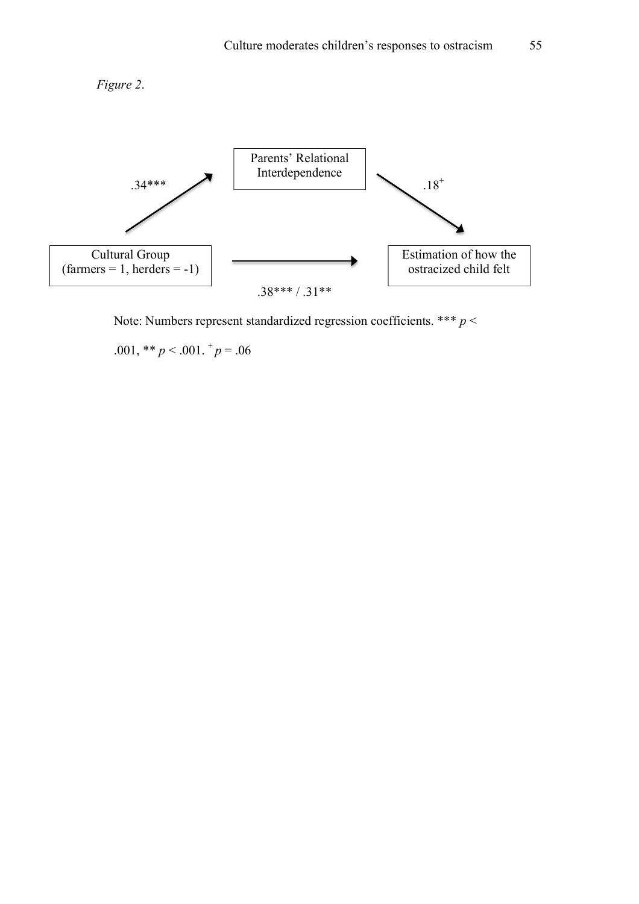



Note: Numbers represent standardized regression coefficients. \*\*\* *p* <

.001, \*\*  $p < .001$ .  $^{+}p = .06$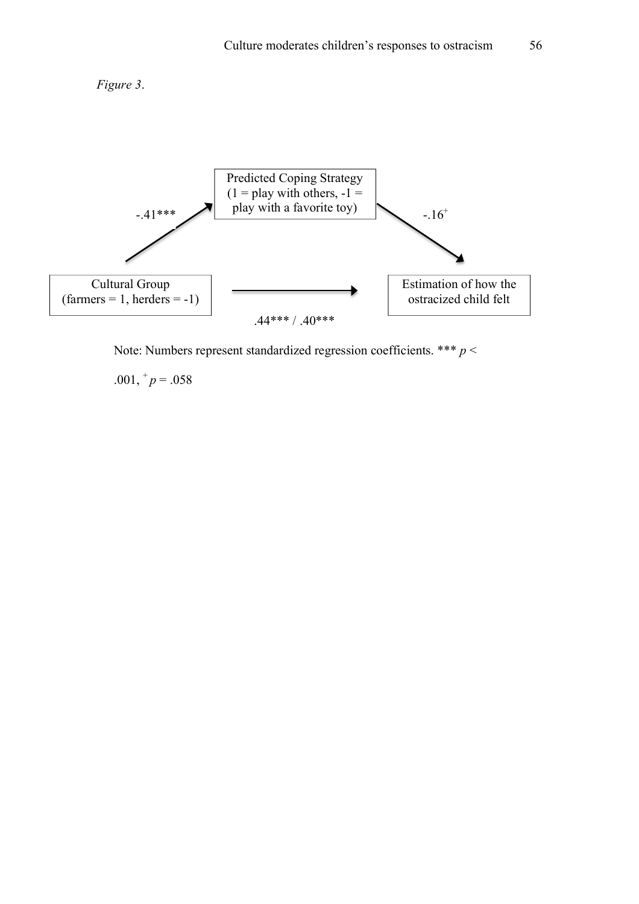



Note: Numbers represent standardized regression coefficients. \*\*\* *p* <

.001,  $^+p = .058$